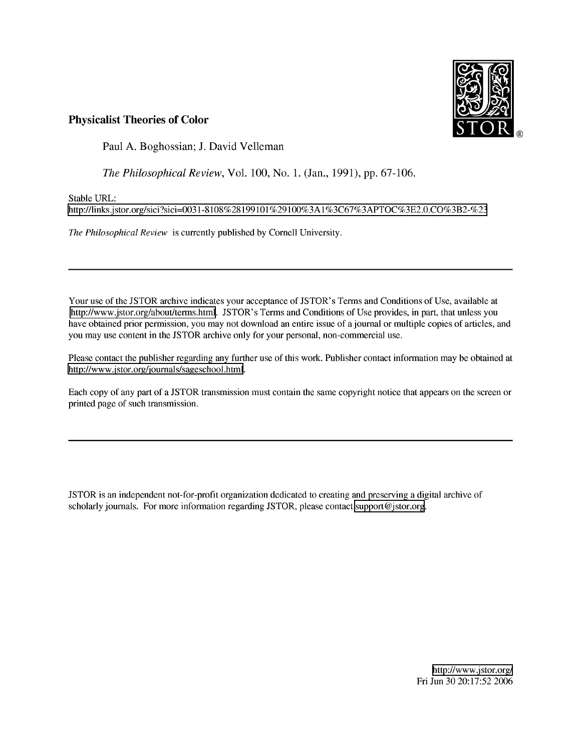

## **Physicalist Theories of Color**

Paul A. Boghossian; J. David Velleman

*The Philosophical Review,* Vol. 100, No. 1. (Jan., 1991), pp. 67-106.

Stable URL:

[http://links.jstor.org/sici?sici=0031-8108%28199101%29100%3Al%3C67%3APTOC%3E2.0.CC\)%3B2-%23](http://links.jstor.org/sici?sici=0031-8108%2528199101%2529100%253Al%253C67%253APTOC%253E2.0.CC%29%253B2-%2523)

*The Philosophical Review* is currently published by Cornell University.

Your use of the JSTOR archive indicates your acceptance of JSTOR's Terms and Conditions of Use, available at <http://www.jstor.org/about/terms.html>. JSTOR's Terms and Conditions of Use provides, in part, that unless you have obtained prior permission, you may not download an entire issue of a journal or multiple copies of articles, and you may use content in the JSTOR archive only for your personal, non-commercial use.

Please contact the publisher regarding any further use of this work. Publisher contact information may be obtained at [http://www.jstor.org/jou](http://www.jstor.org/joumals/sageschool.html)rnals/sageschool.html.

Each copy of any part of a JSTOR transmission must contain the same copyright notice that appears on the screen or printed page of such transmission.

JSTOR is an independent not-for-profit organization dedicated to creating and preserving a digital archive of scholarly journals. For more information regarding JSTOR, please contact [support@jstor.org](mailto:support%40jstor.org).

> [http://www.j](http://www.jstor.org/)stor.org/ Fri Jun 30 20:17:52 2006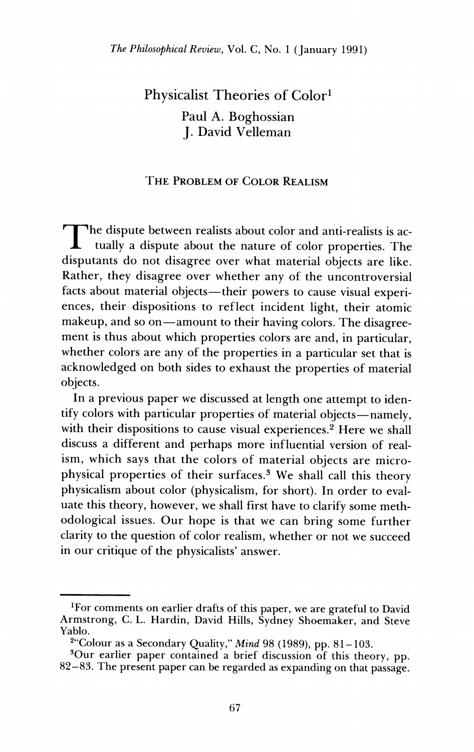# Physicalist Theories of Color<sup>1</sup> Paul A. Boghossian J. David Velleman

## The Problem of Color Realism

The dispute between realists about color and anti-realists is actually a dispute about the nature of color properties. The disputants do not disagree over what material objects are like **1** tually a dispute about the nature of color properties. The disputants do not disagree over what material objects are like. disputants do not disagree over what material objects are like.<br>Rather, they disagree over whether any of the uncontroversial facts about material objects—their powers to cause visual experiences, their dispositions to reflect incident light, their atomic makeup, and so on—amount to their having colors. The disagreement is thus about which properties colors are and, in particular, whether colors are any of the properties in a particular set that is acknowledged on both sides to exhaust the properties of material objects. kather, they disagree over whethe  $maxsup$ , and so on  $-$  amount to t acknowledged on both sides to ex-

In a previous paper we discussed at length one attempt to identify colors with particular properties of material objects—namely, the coors with particular properties of material objects—namely,<br>with their dispositions to cause visual experiences.<sup>2</sup> Here we shall discuss a different and perhaps more influential version of realism, which says that the colors of material objects are microphysical properties of their surfaces.<sup>3</sup> We shall call this theory physicalism about color (physicalism, for short). In order to evaluate this theory, however, we shall first have to clarify some methodological issues. Our hope is that we can bring some further clarity to the question of color realism, whether or not we succeed in our critique of the physicalists' answer.

<sup>&</sup>lt;sup>1</sup>For comments on earlier drafts of this paper, we are grateful to David Armstrong, C. L. Hardin, David Hills, Sydney Shoemaker, and Steve Yablo.  $Yablo.$ 

<sup>2</sup>"Colour as a Secondary Quality," *Mind* 98 (1989), pp. 81-103.  $^{2\alpha}$ Colour as a Secondary Quality," Min

<sup>3</sup>Our earlier paper contained a brief discussion of this theory, pp. 82-83. The present paper can be regarded as expanding on that passage.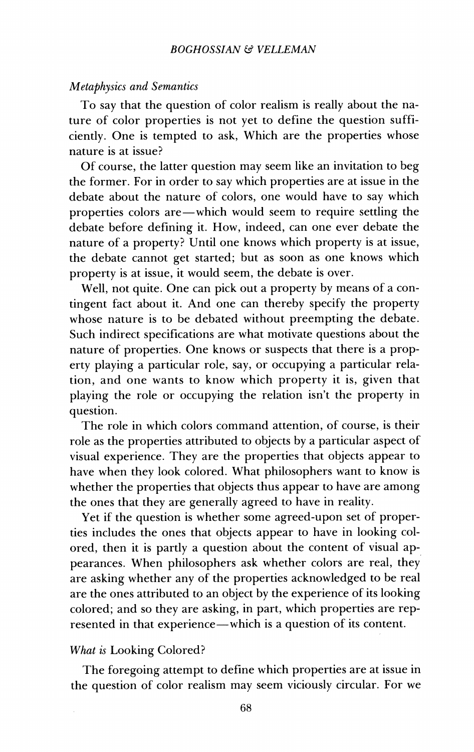#### *Metaphysics and Semantics*

To say that the question of color realism is really about the nature of color properties is not yet to define the question sufficiently. One is tempted to ask, Which are the properties whose nature is at issue?

Of course, the latter question may seem like an invitation to beg the former. For in order to say which properties are at issue in the debate about the nature of colors, one would have to say which properties colors are—which would seem to require settling the debate before defining it. How, indeed, can one ever debate the nature of a property? Until one knows which property is at issue, the debate cannot get started; but as soon as one knows which property is at issue, it would seem, the debate is over.

Well, not quite. One can pick out a property by means of a contingent fact about it. And one can thereby specify the property whose nature is to be debated without preempting the debate. Such indirect specifications are what motivate questions about the nature of properties. One knows or suspects that there is a property playing a particular role, say, or occupying a particular relation, and one wants to know which property it is, given that playing the role or occupying the relation isn't the property in question.

The role in which colors command attention, of course, is their role as the properties attributed to objects by a particular aspect of visual experience. They are the properties that objects appear to have when they look colored. What philosophers want to know is whether the properties that objects thus appear to have are among the ones that they are generally agreed to have in reality.

Yet if the question is whether some agreed-upon set of properties includes the ones that objects appear to have in looking colored, then it is partly a question about the content of visual appearances. When philosophers ask whether colors are real, they are asking whether any of the properties acknowledged to be real are the ones attributed to an object by the experience of its looking colored; and so they are asking, in part, which properties are represented in that experience—which is a question of its content.

#### *What is* Looking Colored?

The foregoing attempt to define which properties are at issue in the question of color realism may seem viciously circular. For we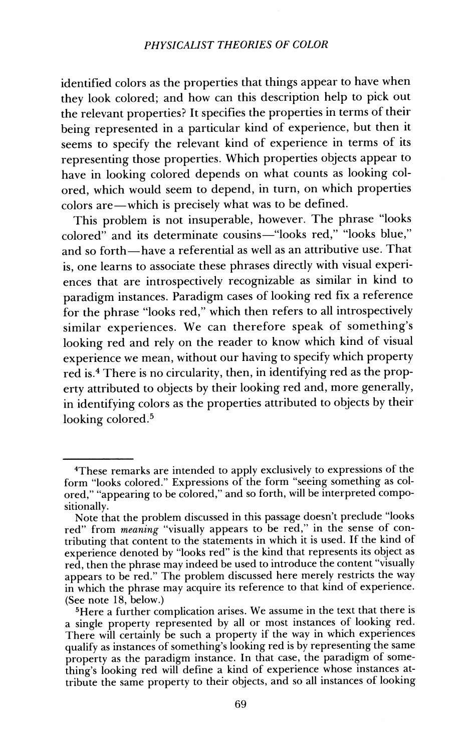identified colors as the properties that things appear to have when they look colored; and how can this description help to pick out the relevant properties? It specifies the properties in terms of their being represented in a particular kind of experience, but then it seems to specify the relevant kind of experience in terms of its representing those properties. Which properties objects appear to have in looking colored depends on what counts as looking colored, which would seem to depend, in turn, on which properties colors are—which is precisely what was to be defined.

This problem is not insuperable, however. The phrase "looks colored" and its determinate cousins—"looks red," "looks blue," and so forth—have a referential as well as an attributive use. That is, one learns to associate these phrases directly with visual experiences that are introspectively recognizable as similar in kind to paradigm instances. Paradigm cases of looking red fix a reference for the phrase "looks red," which then refers to all introspectively similar experiences. We can therefore speak of something'<sup>s</sup> looking red and rely on the reader to know which kind of visual experience we mean, without our having to specify which property red is.<sup>4</sup> There is no circularity, then, in identifying red as the property attributed to objects by their looking red and, more generally, in identifying colors as the properties attributed to objects by their looking colored.<sup>5</sup>

<sup>4</sup>These remarks are intended to apply exclusively to expressions of the form "looks colored." Expressions of the form "seeing something as colored," "appearing to be colored," and so forth, will be interpreted compositionally.

Note that the problem discussed in this passage doesn't preclude "looks red" from *meaning* "visually appears to be red," in the sense of contributing that content to the statements in which it is used. If the kind of experience denoted by "looks red" is the kind that represents its object as red, then the phrase may indeed be used to introduce the content "visually appears to be red." The problem discussed here merely restricts the way in which the phrase may acquire its reference to that kind of experience. (See note 18, below.)

<sup>&</sup>lt;sup>5</sup>Here a further complication arises. We assume in the text that there is a single property represented by all or most instances of looking red. There will certainly be such a property if the way in which experiences qualify as instances of something's looking red is by representing the same property as the paradigm instance. In that case, the paradigm of something's looking red will define a kind of experience whose instances attribute the same property to their objects, and so all instances of looking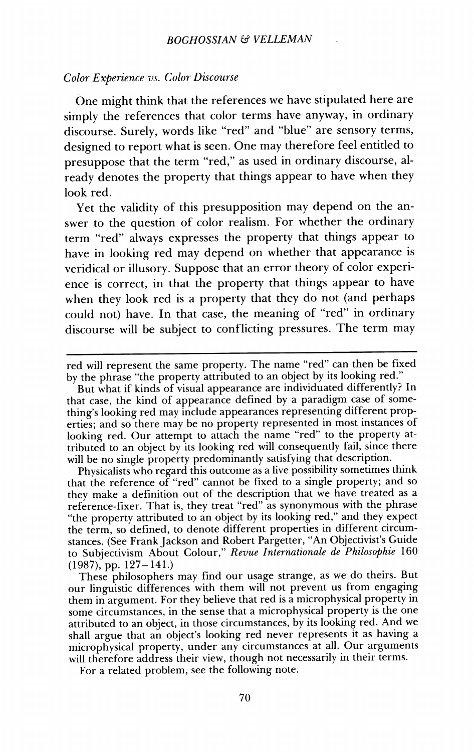#### *Color Experience vs. Color Discourse*

One might think that the references we have stipulated here are simply the references that color terms have anyway, in ordinary discourse. Surely, words like "red" and "blue" are sensory terms, designed to report what is seen. One may therefore feel entitled to presuppose that the term "red," as used in ordinary discourse, already denotes the property that things appear to have when they look red.

Yet the validity of this presupposition may depend on the answer to the question of color realism. For whether the ordinary term "red" always expresses the property that things appear to have in looking red may depend on whether that appearance is veridical or illusory. Suppose that an error theory of color experience is correct, in that the property that things appear to have when they look red is a property that they do not (and perhaps could not) have. In that case, the meaning of "red" in ordinary discourse will be subject to conflicting pressures. The term may

But what if kinds of visual appearance are individuated differently? In that case, the kind of appearance defined by a paradigm case of something's looking red may include appearances representing different properties; and so there may be no property represented in most instances of looking red. Our attempt to attach the name "red" to the property attributed to an object by its looking red will consequently fail, since there will be no single property predominantly satisfying that description.

Physicalists who regard this outcome as a live possibility sometimes think that the reference of "red" cannot be fixed to a single property; and so they make a definition out of the description that we have treated as a reference-fixer. That is, they treat "red" as synonymous with the phrase "the property attributed to an object by its looking red," and they expect the term, so defined, to denote different properties in different circumstances. (See Frank Jackson and Robert Pargetter, "An Objectivist's Guide to Subjectivism About Colour," *Revue Internationale de Philosophie* 160  $(1987)$ , pp.  $127-141$ .

These philosophers may find our usage strange, as we do theirs. But our linguistic differences with them will not prevent us from engaging them in argument. For they believe that red is a microphysical property in some circumstances, in the sense that a microphysical property is the one attributed to an object, in those circumstances, by its looking red. And we shall argue that an object's looking red never represents it as having a microphysical property, under any circumstances at all. Our arguments will therefore address their view, though not necessarily in their terms.

For a related problem, see the following note.

red will represent the same property. The name "red" can then be fixed by the phrase "the property attributed to an object by its looking red."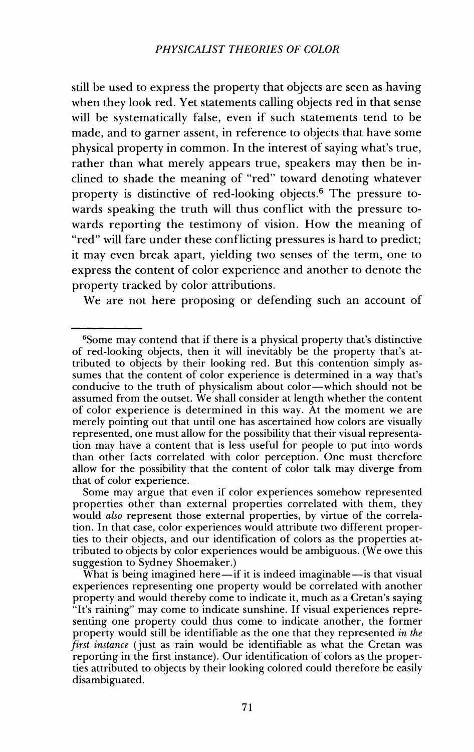still be used to express the property that objects are seen as having when they look red. Yet statements calling objects red in that sense will be systematically false, even if such statements tend to be made, and to garner assent, in reference to objects that have some physical property in common. In the interest of saying what's true, rather than what merely appears true, speakers may then be inclined to shade the meaning of "red" toward denoting whatever property is distinctive of red-looking objects.<sup>6</sup> The pressure towards speaking the truth will thus conflict with the pressure towards reporting the testimony of vision. How the meaning of "red" will fare under these conflicting pressures is hard to predict; it may even break apart, yielding two senses of the term, one to express the content of color experience and another to denote the property tracked by color attributions.

We are not here proposing or defending such an account of

<sup>6</sup>Some may contend that if there is a physical property that's distinctive of red-looking objects, then it will inevitably be the property that's attributed to objects by their looking red. But this contention simply assumes that the content of color experience is determined in a way that's conducive to the truth of physicalism about color—which should not be assumed from the outset. We shall consider at length whether the content of color experience is determined in this way. At the moment we are merely pointing out that until one has ascertained how colors are visually represented, one must allow for the possibility that their visual representation may have a content that is less useful for people to put into words than other facts correlated with color perception. One must therefore allow for the possibility that the content of color talk may diverge from that of color experience.

Some may argue that even if color experiences somehow represented properties other than external properties correlated with them, they would *also* represent those external properties, by virtue of the correlation. In that case, color experiences would attribute two different properties to their objects, and our identification of colors as the properties attributed to objects by color experiences would be ambiguous. (We owe this suggestion to Sydney Shoemaker.)

What is being imagined here—if it is indeed imaginable—is that visual experiences representing one property would be correlated with another property and would thereby come to indicate it, much as a Cretan's saying "It'<sup>s</sup> raining" may come to indicate sunshine. If visual experiences representing one property could thus come to indicate another, the former property would still be identifiable as the one that they represented *in the first instance* (just as rain would be identifiable as what the Cretan was reporting in the first instance). Our identification of colors as the properties attributed to objects by their looking colored could therefore be easily disambiguated.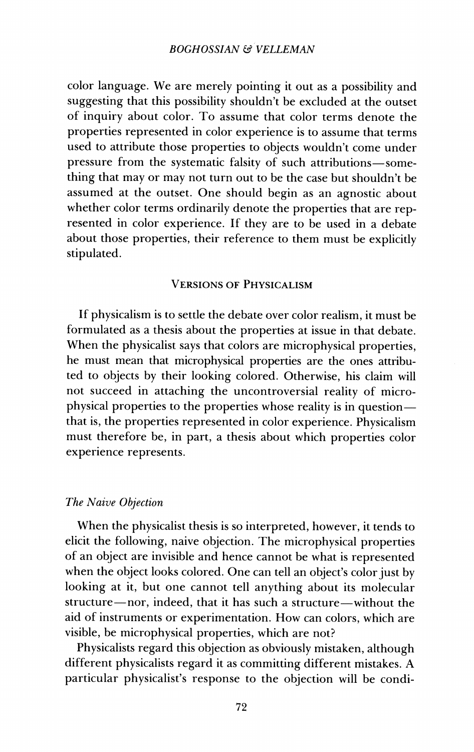color language. We are merely pointing it out as a possibility and suggesting that this possibility shouldn't be excluded at the outset of inquiry about color. To assume that color terms denote the properties represented in color experience is to assume that terms used to attribute those properties to objects wouldn't come under pressure from the systematic falsity of such attributions—something that may or may not turn out to be the case but shouldn't be assumed at the outset. One should begin as an agnostic about whether color terms ordinarily denote the properties that are represented in color experience. If they are to be used in a debate about those properties, their reference to them must be explicitly stipulated.

#### Versions of Physicalism

If physicalism is to settle the debate over color realism, it must be formulated as a thesis about the properties at issue in that debate. When the physicalist says that colors are microphysical properties, he must mean that microphysical properties are the ones attributed to objects by their looking colored. Otherwise, his claim will not succeed in attaching the uncontroversial reality of microphysical properties to the properties whose reality is in question that is, the properties represented in color experience. Physicalism must therefore be, in part, a thesis about which properties color experience represents.

#### *The Naive Objection*

When the physicalist thesis is so interpreted, however, it tends to elicit the following, naive objection. The microphysical properties of an object are invisible and hence cannot be what is represented when the object looks colored. One can tell an object's color just by looking at it, but one cannot tell anything about its molecular structure—nor, indeed, that it has such a structure—without the aid of instruments or experimentation. How can colors, which are visible, be microphysical properties, which are not?

Physicalists regard this objection as obviously mistaken, although different physicalists regard it as committing different mistakes. A particular physicalist's response to the objection will be condi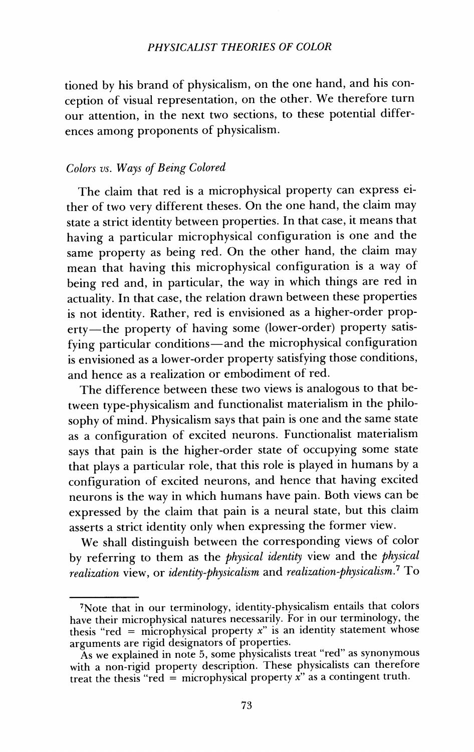tioned by his brand of physicalism, on the one hand, and his conception of visual representation, on the other. We therefore turn our attention, in the next two sections, to these potential differences among proponents of physicalism.

## *Colors vs. Ways ofBeing Colored*

The claim that red is a microphysical property can express either of two very different theses. On the one hand, the claim may state a strict identity between properties. In that case, it means that having a particular microphysical configuration is one and the same property as being red. On the other hand, the claim may mean that having this microphysical configuration is a way of being red and, in particular, the way in which things are red in actuality. In that case, the relation drawn between these properties is not identity. Rather, red is envisioned as a higher-order property—the property of having some (lower-order) property satisfying particular conditions—and the microphysical configuration is envisioned as a lower-order property satisfying those conditions, and hence as a realization or embodiment of red.

The difference between these two views is analogous to that between type-physicalism and functionalist materialism in the philosophy of mind. Physicalism says that pain is one and the same state as a configuration of excited neurons. Functionalist materialism says that pain is the higher-order state of occupying some state that plays a particular role, that this role is played in humans by a configuration of excited neurons, and hence that having excited neurons is the way in which humans have pain. Both views can be expressed by the claim that pain is a neural state, but this claim asserts a strict identity only when expressing the former view.

We shall distinguish between the corresponding views of color by referring to them as the *physical identity* view and the *physical realization* view, or *identity-physicalism* and *realization-physicalism.<sup>7</sup>* To

<sup>7</sup>Note that in our terminology, identity-physicalism entails that colors have their microphysical natures necessarily. For in our terminology, the thesis "red = microphysical property x" is an identity statement whose arguments are rigid designators of properties.

As we explained in note 5, some physicalists treat "red" as synonymous with a non-rigid property description. These physicalists can therefore treat the thesis "red = microphysical property  $x''$  as a contingent truth.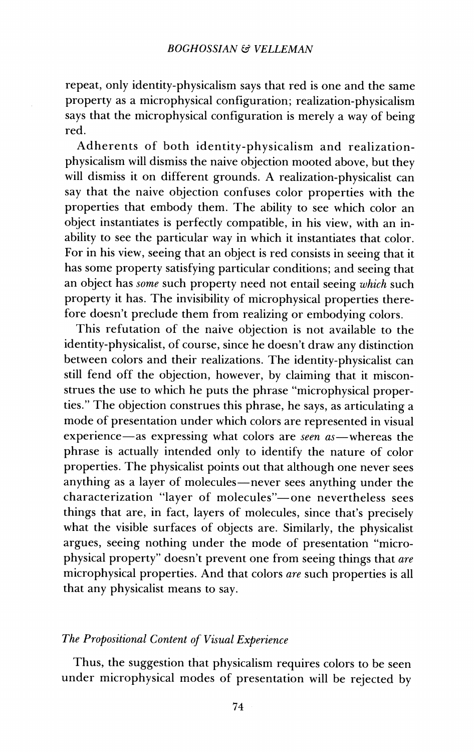repeat, only identity-physicalism says that red is one and the same property as a microphysical configuration; realization-physicalism says that the microphysical configuration is merely a way of being red.

Adherents of both identity-physicalism and realizationphysicalism will dismiss the naive objection mooted above, but they will dismiss it on different grounds. A realization-physicalist can say that the naive objection confuses color properties with the properties that embody them. The ability to see which color an object instantiates is perfectly compatible, in his view, with an inability to see the particular way in which it instantiates that color. For in his view, seeing that an object is red consists in seeing that it has some property satisfying particular conditions; and seeing that an object has *some* such property need not entail seeing *which* such property it has. The invisibility of microphysical properties therefore doesn't preclude them from realizing or embodying colors.

This refutation of the naive objection is not available to the identity-physicalist, of course, since he doesn't draw any distinction between colors and their realizations. The identity-physicalist can still fend off the objection, however, by claiming that it misconstrues the use to which he puts the phrase "microphysical properties." The objection construes this phrase, he says, as articulating a mode of presentation under which colors are represented in visual experience—as expressing what colors are *seen as—*whereas the phrase is actually intended only to identify the nature of color properties. The physicalist points out that although one never sees anything as a layer of molecules—never sees anything under the characterization "layer of molecules"—one nevertheless sees things that are, in fact, layers of molecules, since that's precisely what the visible surfaces of objects are. Similarly, the physicalist argues, seeing nothing under the mode of presentation "microphysical property" doesn't prevent one from seeing things that *are* microphysical properties. And that colors *are* such properties is all that any physicalist means to say.

## *The Propositional Content of Visual Experience*

Thus, the suggestion that physicalism requires colors to be seen under microphysical modes of presentation will be rejected by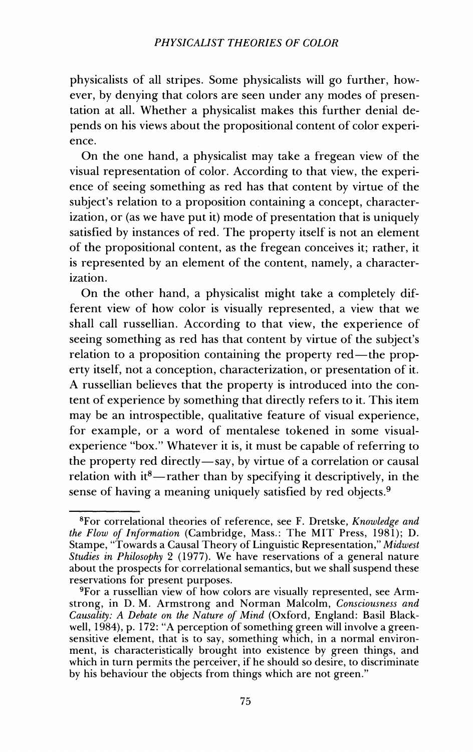physicalists of all stripes. Some physicalists will go further, however, by denying that colors are seen under any modes of presentation at all. Whether a physicalist makes this further denial depends on his views about the propositional content of color experience.

On the one hand, a physicalist may take a fregean view of the visual representation of color. According to that view, the experience of seeing something as red has that content by virtue of the subject's relation to a proposition containing a concept, characterization, or (as we have put it) mode of presentation that is uniquely satisfied by instances of red. The property itself is not an element of the propositional content, as the fregean conceives it; rather, it is represented by an element of the content, namely, a characterization.

On the other hand, a physicalist might take a completely different view of how color is visually represented, a view that we shall call russellian. According to that view, the experience of seeing something as red has that content by virtue of the subject'<sup>s</sup> relation to a proposition containing the property red—the property itself, not a conception, characterization, or presentation of it. A russellian believes that the property is introduced into the content of experience by something that directly refers to it. This item may be an introspectible, qualitative feature of visual experience, for example, or a word of mentalese tokened in some visualexperience "box." Whatever it is, it must be capable of referring to the property red directly—say, by virtue of a correlation or causal relation with it<sup>8</sup>—rather than by specifying it descriptively, in the sense of having a meaning uniquely satisfied by red objects.<sup>9</sup>

<sup>8</sup>For correlational theories of reference, see F. Dretske, *Knowledge and the Flow of Information* (Cambridge, Mass.: The MIT Press, 1981); D. Stampe, "Towards a Causal Theory of Linguistic Representation," *Midwest Studies in Philosophy* 2 (1977). We have reservations of a general nature about the prospects for correlational semantics, but we shall suspend these reservations for present purposes.

<sup>9</sup>For a russellian view of how colors are visually represented, see Armstrong, in D. M. Armstrong and Norman Malcolm, *Consciousness and Causality: A Debate on the Nature of Mind* (Oxford, England: Basil Blackwell, 1984), p. 172: "A perception of something green will involve a greensensitive element, that is to say, something which, in a normal environment, is characteristically brought into existence by green things, and which in turn permits the perceiver, if he should so desire, to discriminate by his behaviour the objects from things which are not green."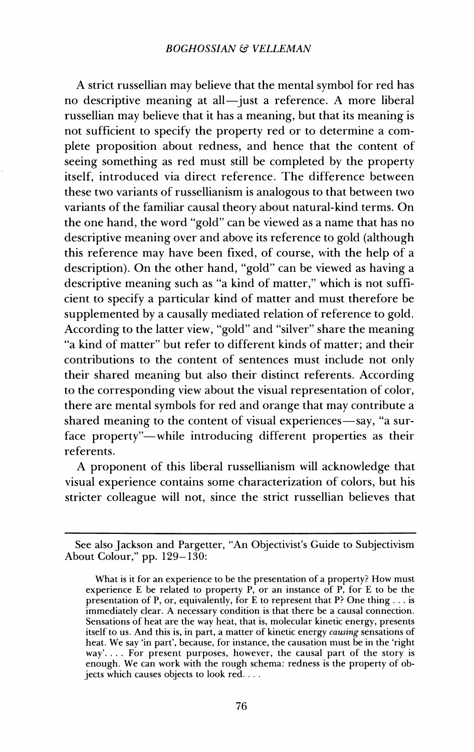A strict russellian may believe that the mental symbol for red has no descriptive meaning at all—just a reference. A more liberal russellian may believe that it has a meaning, but that its meaning is not sufficient to specify the property red or to determine a complete proposition about redness, and hence that the content of seeing something as red must still be completed by the property itself, introduced via direct reference. The difference between these two variants of russellianism is analogous to that between two variants of the familiar causal theory about natural-kind terms. On the one hand, the word "gold" can be viewed as a name that has no descriptive meaning over and above its reference to gold (although this reference may have been fixed, of course, with the help of a description). On the other hand, "gold" can be viewed as having a descriptive meaning such as "a kind of matter," which is not sufficient to specify a particular kind of matter and must therefore be supplemented by a causally mediated relation of reference to gold. According to the latter view, "gold" and "silver" share the meaning "a kind of matter" but refer to different kinds of matter; and their contributions to the content of sentences must include not only their shared meaning but also their distinct referents. According to the corresponding view about the visual representation of color, there are mental symbols for red and orange that may contribute a shared meaning to the content of visual experiences—say, "a surface property"—while introducing different properties as their referents.

A proponent of this liberal russellianism will acknowledge that visual experience contains some characterization of colors, but his stricter colleague will not, since the strict russellian believes that

See also Jackson and Pargetter, "An Objectivist's Guide to Subjectivism About Colour," pp.  $129-130$ :

What is it for an experience to be the presentation of a property? How must experience E be related to property P, or an instance of P, for E to be the presentation of P, or, equivalently, for <sup>E</sup> to represent that P? One thing ... is immediately clear. A necessary condition is that there be a causal connection. Sensations of heat are the way heat, that is, molecular kinetic energy, presents itself to us. And this is, in part, a matter of kinetic energy *causing* sensations of heat. We say 'in part', because, for instance, the causation must be in the 'right way'. . . . For present purposes, however, the causal part of the story is enough. We can work with the rough schema: redness is the property of objects which causes objects to look red. . . .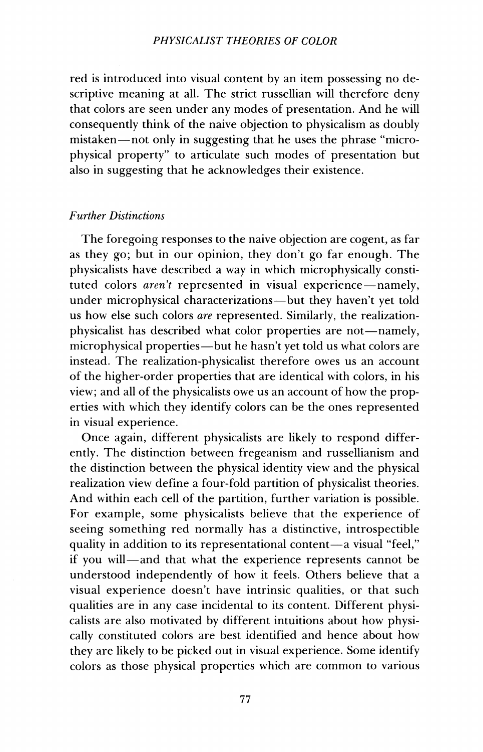red is introduced into visual content by an item possessing no descriptive meaning at all. The strict russellian will therefore deny that colors are seen under any modes of presentation. And he will consequently think of the naive objection to physicalism as doubly mistaken—not only in suggesting that he uses the phrase "microphysical property" to articulate such modes of presentation but also in suggesting that he acknowledges their existence.

## *Further Distinctions*

The foregoing responses to the naive objection are cogent, as far as they go; but in our opinion, they don't go far enough. The physicalists have described a way in which microphysically constituted colors *aren't* represented in visual experience—namely, under microphysical characterizations—but they haven't yet told us how else such colors *are* represented. Similarly, the realizationphysicalist has described what color properties are not—namely, microphysical properties—but he hasn't yet told us what colors are instead. The realization-physicalist therefore owes us an account of the higher-order properties that are identical with colors, in his view; and all of the physicalists owe us an account of how the properties with which they identify colors can be the ones represented in visual experience.

Once again, different physicalists are likely to respond differently. The distinction between fregeanism and russellianism and the distinction between the physical identity view and the physical realization view define a four-fold partition of physicalist theories. And within each cell of the partition, further variation is possible. For example, some physicalists believe that the experience of seeing something red normally has a distinctive, introspectible quality in addition to its representational content—a visual "feel," if you will—and that what the experience represents cannot be understood independently of how it feels. Others believe that a visual experience doesn't have intrinsic qualities, or that such qualities are in any case incidental to its content. Different physicalists are also motivated by different intuitions about how physically constituted colors are best identified and hence about how they are likely to be picked out in visual experience. Some identify colors as those physical properties which are common to various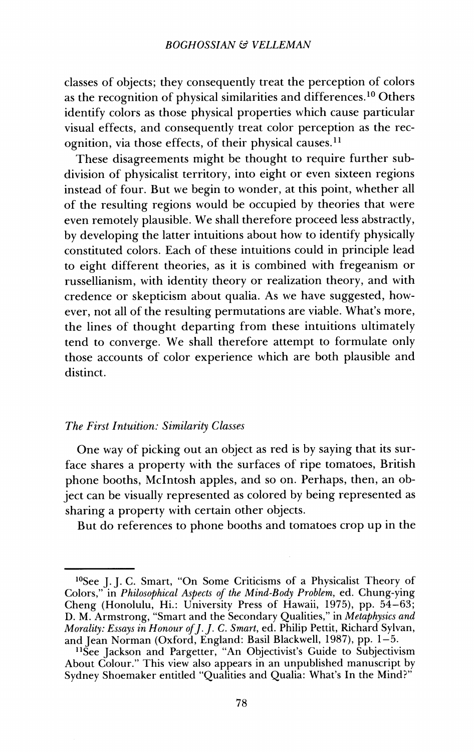classes of objects; they consequently treat the perception of colors as the recognition of physical similarities and differences.<sup>10</sup> Others identify colors as those physical properties which cause particular visual effects, and consequently treat color perception as the recognition, via those effects, of their physical causes.<sup>11</sup>

These disagreements might be thought to require further subdivision of physicalist territory, into eight or even sixteen regions instead of four. But we begin to wonder, at this point, whether all of the resulting regions would be occupied by theories that were even remotely plausible. We shall therefore proceed less abstractly, by developing the latter intuitions about how to identify physically constituted colors. Each of these intuitions could in principle lead to eight different theories, as it is combined with fregeanism or russellianism, with identity theory or realization theory, and with credence or skepticism about qualia. As we have suggested, however, not all of the resulting permutations are viable. What's more, the lines of thought departing from these intuitions ultimately tend to converge. We shall therefore attempt to formulate only those accounts of color experience which are both plausible and distinct.

## *The First Intuition: Similarity Classes*

One way of picking out an object as red is by saying that its surface shares a property with the surfaces of ripe tomatoes, British phone booths, McIntosh apples, and so on. Perhaps, then, an object can be visually represented as colored by being represented as sharing a property with certain other objects.

But do references to phone booths and tomatoes crop up in the

<sup>10</sup>See J. J. C. Smart, "On Some Criticisms of a Physicalist Theory of Colors," in *Philosophical Aspects of the Mind-Body Problem,* ed. Chung-ying Cheng (Honolulu, Hi.: University Press of Hawaii, 1975), pp. 54-63; D. M. Armstrong, "Smart and the Secondary Qualities," in *Metaphysics and Morality: Essays in Honour ofJ. J. C. Smart,* ed. Philip Pettit, Richard Sylvan, and Jean Norman (Oxford, England: Basil Blackwell, 1987), pp. 1-5.

<sup>&</sup>lt;sup>11</sup>See Jackson and Pargetter, "An Objectivist's Guide to Subjectivism About Colour." This view also appears in an unpublished manuscript by Sydney Shoemaker entitled "Qualities and Qualia: What's In the Mind?"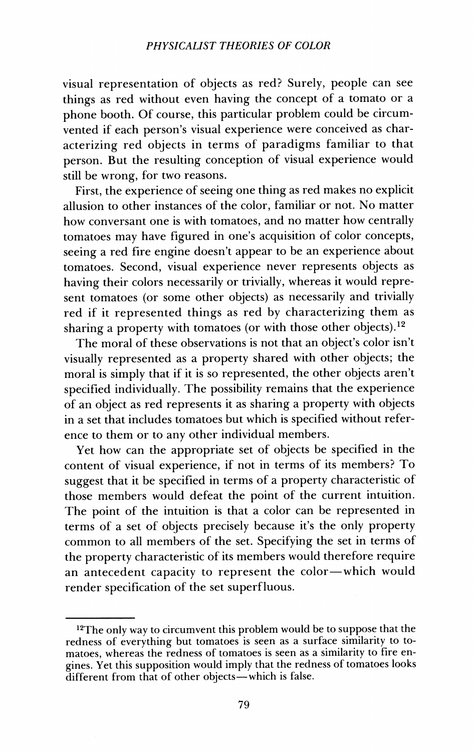visual representation of objects as red? Surely, people can see things as red without even having the concept of a tomato or a phone booth. Of course, this particular problem could be circumvented if each person's visual experience were conceived as characterizing red objects in terms of paradigms familiar to that person. But the resulting conception of visual experience would still be wrong, for two reasons.

First, the experience of seeing one thing as red makes no explicit allusion to other instances of the color, familiar or not. No matter how conversant one is with tomatoes, and no matter how centrally tomatoes may have figured in one's acquisition of color concepts, seeing a red fire engine doesn't appear to be an experience about tomatoes. Second, visual experience never represents objects as having their colors necessarily or trivially, whereas it would represent tomatoes (or some other objects) as necessarily and trivially red if it represented things as red by characterizing them as sharing a property with tomatoes (or with those other objects).<sup>12</sup>

The moral of these observations is not that an object's color isn't visually represented as a property shared with other objects; the moral is simply that if it is so represented, the other objects aren't specified individually. The possibility remains that the experience of an object as red represents it as sharing a property with objects in a set that includes tomatoes but which is specified without reference to them or to any other individual members.

Yet how can the appropriate set of objects be specified in the content of visual experience, if not in terms of its members? To suggest that it be specified in terms of a property characteristic of those members would defeat the point of the current intuition. The point of the intuition is that a color can be represented in terms of a set of objects precisely because it's the only property common to all members of the set. Specifying the set in terms of the property characteristic of its members would therefore require an antecedent capacity to represent the color—which would render specification of the set superfluous.

<sup>&</sup>lt;sup>12</sup>The only way to circumvent this problem would be to suppose that the redness of everything but tomatoes is seen as a surface similarity to tomatoes, whereas the redness of tomatoes is seen as a similarity to fire engines. Yet this supposition would imply that the redness of tomatoes looks different from that of other objects—which is false.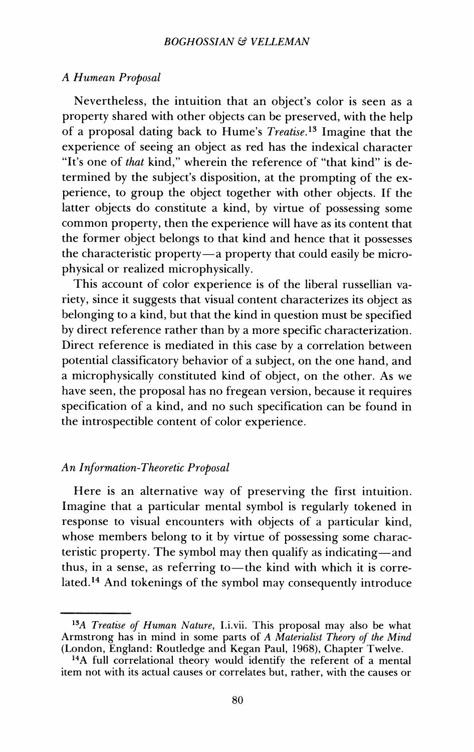### *A Humean Proposal*

Nevertheless, the intuition that an object's color is seen as a property shared with other objects can be preserved, with the help of a proposal dating back to Hume's *Treatise.<sup>13</sup>* Imagine that the experience of seeing an object as red has the indexical character "It'<sup>s</sup> one of *that* kind," wherein the reference of "that kind" is determined by the subject's disposition, at the prompting of the experience, to group the object together with other objects. If the latter objects do constitute a kind, by virtue of possessing some common property, then the experience will have as its content that the former object belongs to that kind and hence that it possesses the characteristic property—a property that could easily be microphysical or realized microphysically.

This account of color experience is of the liberal russellian variety, since it suggests that visual content characterizes its object as belonging to a kind, but that the kind in question must be specified by direct reference rather than by a more specific characterization. Direct reference is mediated in this case by a correlation between potential classificatory behavior of a subject, on the one hand, and a microphysically constituted kind of object, on the other. As we have seen, the proposal has no fregean version, because it requires specification of a kind, and no such specification can be found in the introspectible content of color experience.

#### *An Information-Theoretic Proposal*

Here is an alternative way of preserving the first intuition. Imagine that a particular mental symbol is regularly tokened in response to visual encounters with objects of a particular kind, whose members belong to it by virtue of possessing some characteristic property. The symbol may then qualify as indicating—and thus, in a sense, as referring to—the kind with which it is correlated.<sup>14</sup> And tokenings of the symbol may consequently introduce

<sup>13</sup>A *Treatise of Human Nature,* I.i.vii. This proposal may also be what Armstrong has in mind in some parts of *A Materialist Theory of the Mind* (London, England: Routledge and Kegan Paul, 1968), Chapter Twelve.

<sup>&</sup>lt;sup>14</sup>A full correlational theory would identify the referent of a mental item not with its actual causes or correlates but, rather, with the causes or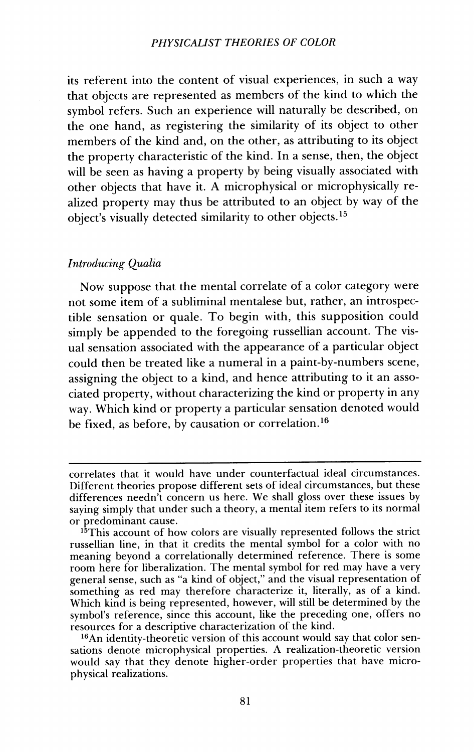## *PHYSICALIST THEORIES OF COLOR*

its referent into the content of visual experiences, in such a way that objects are represented as members of the kind to which the symbol refers. Such an experience will naturally be described, on the one hand, as registering the similarity of its object to other members of the kind and, on the other, as attributing to its object the property characteristic of the kind. In a sense, then, the object will be seen as having a property by being visually associated with other objects that have it. A microphysical or microphysically realized property may thus be attributed to an object by way of the object's visually detected similarity to other objects.<sup>15</sup>

## *Introducing Qualia*

Now suppose that the mental correlate of a color category were not some item of a subliminal mentalese but, rather, an introspectible sensation or quale. To begin with, this supposition could simply be appended to the foregoing russellian account. The visual sensation associated with the appearance of a particular object could then be treated like a numeral in a paint-by-numbers scene, assigning the object to a kind, and hence attributing to it an associated property, without characterizing the kind or property in any way. Which kind or property a particular sensation denoted would be fixed, as before, by causation or correlation.<sup>16</sup>

correlates that it would have under counterfactual ideal circumstances. Different theories propose different sets of ideal circumstances, but these differences needn't concern us here. We shall gloss over these issues by saying simply that under such a theory, a mental item refers to its normal or predominant cause.

<sup>&</sup>lt;sup>15</sup>This account of how colors are visually represented follows the strict russellian line, in that it credits the mental symbol for a color with no meaning beyond a correlationally determined reference. There is some room here for liberalization. The mental symbol for red may have a very general sense, such as "a kind of object," and the visual representation of something as red may therefore characterize it, literally, as of a kind. Which kind is being represented, however, will still be determined by the symbol's reference, since this account, like the preceding one, offers no resources for a descriptive characterization of the kind.

<sup>16</sup>An identity-theoretic version of this account would say that color sen-16 An identity-theoretic version of this sations denote microphysical properties. A realization-theoretic version would say that they denote higher-order properties that have microphysical realizations.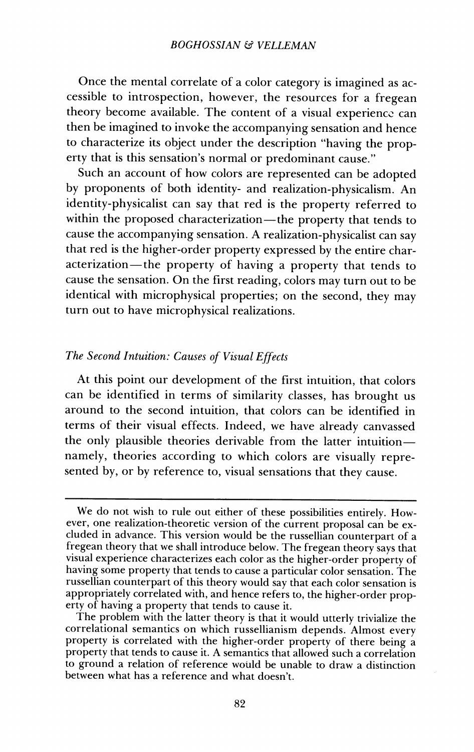Once the mental correlate of a color category is imagined as accessible to introspection, however, the resources for a fregean theory become available. The content of a visual experience can then be imagined to invoke the accompanying sensation and hence to characterize its object under the description "having the property that is this sensation's normal or predominant cause."

Such an account of how colors are represented can be adopted by proponents of both identity- and realization-physicalism. An identity-physicalist can say that red is the property referred to within the proposed characterization—the property that tends to cause the accompanying sensation. A realization-physicalist can say that red is the higher-order property expressed by the entire characterization—the property of having a property that tends to cause the sensation. On the first reading, colors may turn out to be identical with microphysical properties; on the second, they may turn out to have microphysical realizations.

## *The Second Intuition: Causes of Visual Effects*

At this point our development of the first intuition, that colors can be identified in terms of similarity classes, has brought us around to the second intuition, that colors can be identified in terms of their visual effects. Indeed, we have already canvassed the only plausible theories derivable from the latter intuition namely, theories according to which colors are visually represented by, or by reference to, visual sensations that they cause.

We do not wish to rule out either of these possibilities entirely. However, one realization-theoretic version of the current proposal can be excluded in advance. This version would be the russellian counterpart of a fregean theory that we shall introduce below. The fregean theory says that visual experience characterizes each color as the higher-order property of having some property that tends to cause a particular color sensation. The russellian counterpart of this theory would say that each color sensation is appropriately correlated with, and hence refers to, the higher-order property of having a property that tends to cause it.

The problem with the latter theory is that it would utterly trivialize the correlational semantics on which russellianism depends. Almost every property is correlated with the higher-order property of there being a property that tends to cause it. A semantics that allowed such a correlation to ground a relation of reference would be unable to draw a distinction between what has a reference and what doesn't.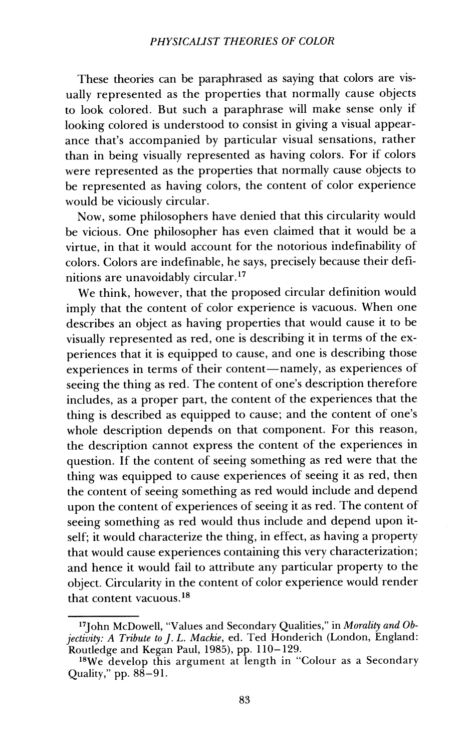These theories can be paraphrased as saying that colors are visually represented as the properties that normally cause objects to look colored. But such a paraphrase will make sense only if looking colored is understood to consist in giving a visual appearance that'<sup>s</sup> accompanied by particular visual sensations, rather than in being visually represented as having colors. For if colors were represented as the properties that normally cause objects to be represented as having colors, the content of color experience would be viciously circular.

Now, some philosophers have denied that this circularity would be vicious. One philosopher has even claimed that it would be a virtue, in that it would account for the notorious indefinability of colors. Colors are indefinable, he says, precisely because their definitions are unavoidably circular.<sup>17</sup>

We think, however, that the proposed circular definition would imply that the content of color experience is vacuous. When one describes an object as having properties that would cause it to be visually represented as red, one is describing it in terms of the experiences that it is equipped to cause, and one is describing those experiences in terms of their content—namely, as experiences of seeing the thing as red. The content of one's description therefore includes, as a proper part, the content of the experiences that the thing is described as equipped to cause; and the content of one'<sup>s</sup> whole description depends on that component. For this reason, the description cannot express the content of the experiences in question. If the content of seeing something as red were that the thing was equipped to cause experiences of seeing it as red, then the content of seeing something as red would include and depend upon the content of experiences of seeing it as red. The content of seeing something as red would thus include and depend upon itself; it would characterize the thing, in effect, as having a property that would cause experiences containing this very characterization; and hence it would fail to attribute any particular property to the object. Circularity in the content of color experience would render that content vacuous.<sup>18</sup>

<sup>17</sup>John McDowell, "Values and Secondary Qualities," in *Morality and Objectivity: A Tribute to J. L. Mackie,* ed. Ted Honderich (London, England: Routledge and Kegan Paul, 1985), pp. 110-129.

<sup>&</sup>lt;sup>18</sup>We develop this argument at length in "Colour as a Secondary Quality," pp.  $88-91$ .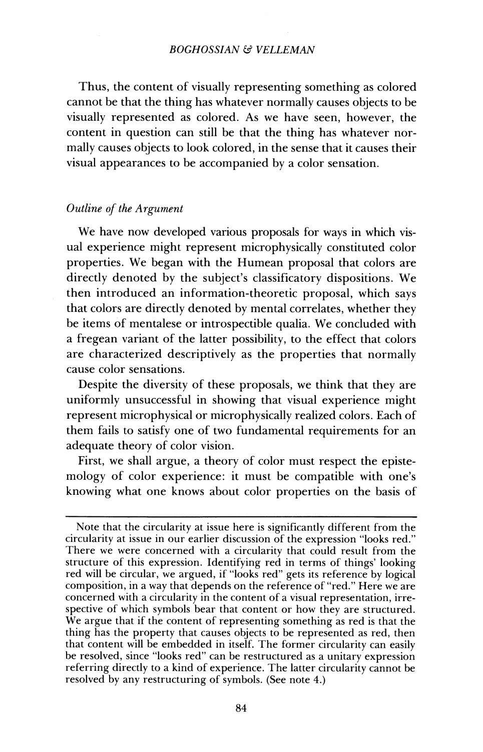Thus, the content of visually representing something as colored cannot be that the thing has whatever normally causes objects to be visually represented as colored. As we have seen, however, the content in question can still be that the thing has whatever normally causes objects to look colored, in the sense that it causes their visual appearances to be accompanied by a color sensation.

### *Outline of the Argument*

We have now developed various proposals for ways in which visual experience might represent microphysically constituted color properties. We began with the Humean proposal that colors are directly denoted by the subject's classificatory dispositions. We then introduced an information-theoretic proposal, which says that colors are directly denoted by mental correlates, whether they be items of mentalese or introspectible qualia. We concluded with a fregean variant of the latter possibility, to the effect that colors are characterized descriptively as the properties that normally cause color sensations.

Despite the diversity of these proposals, we think that they are uniformly unsuccessful in showing that visual experience might represent microphysical or microphysically realized colors. Each of them fails to satisfy one of two fundamental requirements for an adequate theory of color vision.

First, we shall argue, a theory of color must respect the epistemology of color experience: it must be compatible with one'<sup>s</sup> knowing what one knows about color properties on the basis of

Note that the circularity at issue here is significantly different from the circularity at issue in our earlier discussion of the expression "looks red." There we were concerned with a circularity that could result from the structure of this expression. Identifying red in terms of things' looking red will be circular, we argued, if "looks red" gets its reference by logical composition, in a way that depends on the reference of "red." Here we are concerned with a circularity in the content of a visual representation, irrespective of which symbols bear that content or how they are structured. We argue that if the content of representing something as red is that the thing has the property that causes objects to be represented as red, then that content will be embedded in itself. The former circularity can easily be resolved, since "looks red" can be restructured as a unitary expression referring directly to a kind of experience. The latter circularity cannot be resolved by any restructuring of symbols. (See note 4.)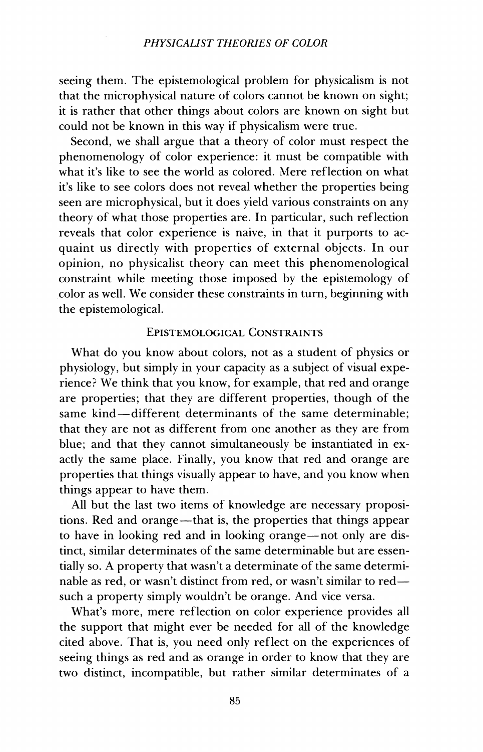seeing them. The epistemological problem for physicalism is not that the microphysical nature of colors cannot be known on sight; it is rather that other things about colors are known on sight but could not be known in this way if physicalism were true.

Second, we shall argue that a theory of color must respect the phenomenology of color experience: it must be compatible with what it's like to see the world as colored. Mere reflection on what it's like to see colors does not reveal whether the properties being seen are microphysical, but it does yield various constraints on any theory of what those properties are. In particular, such reflection reveals that color experience is naive, in that it purports to acquaint us directly with properties of external objects. In our opinion, no physicalist theory can meet this phenomenological constraint while meeting those imposed by the epistemology of color as well. We consider these constraints in turn, beginning with the epistemological.

## Epistemological Constraints

What do you know about colors, not as a student of physics or physiology, but simply in your capacity as a subject of visual experience? We think that you know, for example, that red and orange are properties; that they are different properties, though of the same kind—different determinants of the same determinable; that they are not as different from one another as they are from blue; and that they cannot simultaneously be instantiated in exactly the same place. Finally, you know that red and orange are properties that things visually appear to have, and you know when things appear to have them.

All but the last two items of knowledge are necessary propositions. Red and orange—that is, the properties that things appear to have in looking red and in looking orange—not only are distinct, similar determinates of the same determinable but are essentially so. A property that wasn't a determinate of the same determinable as red, or wasn't distinct from red, or wasn't similar to red such a property simply wouldn't be orange. And vice versa.

What's more, mere reflection on color experience provides all the support that might ever be needed for all of the knowledge cited above. That is, you need only reflect on the experiences of seeing things as red and as orange in order to know that they are two distinct, incompatible, but rather similar determinates of a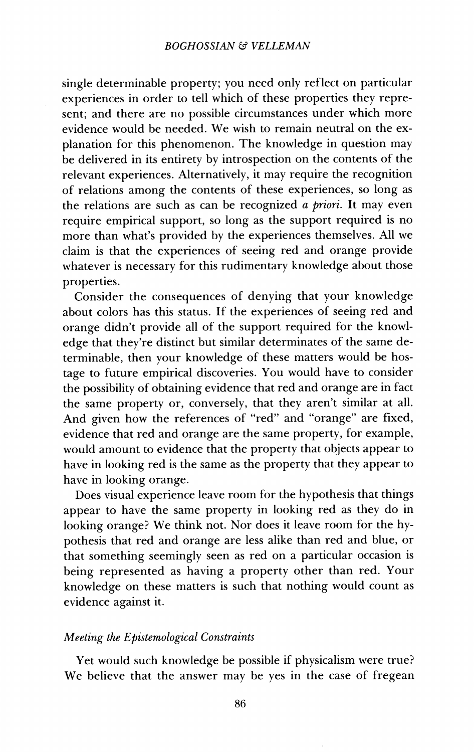single determinable property; you need only reflect on particular experiences in order to tell which of these properties they represent; and there are no possible circumstances under which more evidence would be needed. We wish to remain neutral on the explanation for this phenomenon. The knowledge in question may be delivered in its entirety by introspection on the contents of the relevant experiences. Alternatively, it may require the recognition of relations among the contents of these experiences, so long as the relations are such as can be recognized *a priori.* It may even require empirical support, so long as the support required is no more than what's provided by the experiences themselves. All we claim is that the experiences of seeing red and orange provide whatever is necessary for this rudimentary knowledge about those properties.

Consider the consequences of denying that your knowledge about colors has this status. If the experiences of seeing red and orange didn't provide all of the support required for the knowledge that they're distinct but similar determinates of the same determinable, then your knowledge of these matters would be hostage to future empirical discoveries. You would have to consider the possibility of obtaining evidence that red and orange are in fact the same property or, conversely, that they aren't similar at all. And given how the references of "red" and "orange" are fixed, evidence that red and orange are the same property, for example, would amount to evidence that the property that objects appear to have in looking red is the same as the property that they appear to have in looking orange.

Does visual experience leave room for the hypothesis that things appear to have the same property in looking red as they do in looking orange? We think not. Nor does it leave room for the hypothesis that red and orange are less alike than red and blue, or that something seemingly seen as red on a particular occasion is being represented as having a property other than red. Your knowledge on these matters is such that nothing would count as evidence against it.

#### *Meeting the Epistemological Constraints*

Yet would such knowledge be possible if physicalism were true? We believe that the answer may be yes in the case of fregean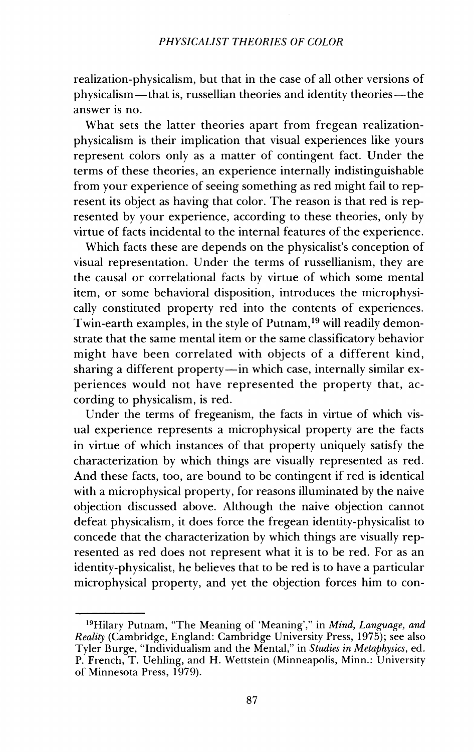realization-physicalism, but that in the case of all other versions of physicalism—that is, russellian theories and identity theories—the answer is no.

What sets the latter theories apart from fregean realizationphysicalism is their implication that visual experiences like yours represent colors only as a matter of contingent fact. Under the terms of these theories, an experience internally indistinguishable from your experience of seeing something as red might fail to represent its object as having that color. The reason is that red is represented by your experience, according to these theories, only by virtue of facts incidental to the internal features of the experience.

Which facts these are depends on the physicalist's conception of visual representation. Under the terms of russellianism, they are the causal or correlational facts by virtue of which some mental item, or some behavioral disposition, introduces the microphysically constituted property red into the contents of experiences. Twin-earth examples, in the style of Putnam,<sup>19</sup> will readily demonstrate that the same mental item or the same classificatory behavior might have been correlated with objects of a different kind, sharing a different property—in which case, internally similar experiences would not have represented the property that, according to physicalism, is red.

Under the terms of fregeanism, the facts in virtue of which visual experience represents a microphysical property are the facts in virtue of which instances of that property uniquely satisfy the characterization by which things are visually represented as red. And these facts, too, are bound to be contingent if red is identical with a microphysical property, for reasons illuminated by the naive objection discussed above. Although the naive objection cannot defeat physicalism, it does force the fregean identity-physicalist to concede that the characterization by which things are visually represented as red does not represent what it is to be red. For as an identity-physicalist, he believes that to be red is to have a particular microphysical property, and yet the objection forces him to con-

<sup>19</sup>Hilary Putnam, "The Meaning of 'Meaning'," in *Mind, Language, and Reality* (Cambridge, England: Cambridge University Press, 1975); see also Tyler Burge, "Individualism and the Mental," in *Studies in Metaphysics,* ed. P. French, T. Uehling, and H. Wettstein (Minneapolis, Minn.: University of Minnesota Press, 1979).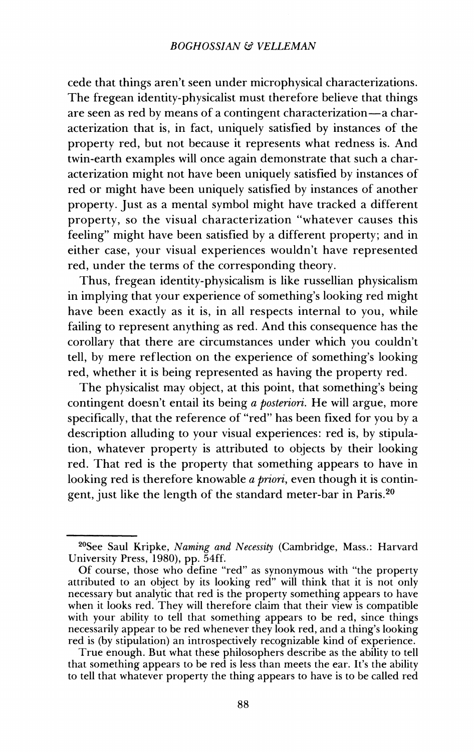cede that things aren't seen under microphysical characterizations. The fregean identity-physicalist must therefore believe that things are seen as red by means of a contingent characterization—a characterization that is, in fact, uniquely satisfied by instances of the property red, but not because it represents what redness is. And twin-earth examples will once again demonstrate that such a characterization might not have been uniquely satisfied by instances of red or might have been uniquely satisfied by instances of another property. Just as a mental symbol might have tracked a different property, so the visual characterization "whatever causes this feeling" might have been satisfied by a different property; and in either case, your visual experiences wouldn't have represented red, under the terms of the corresponding theory.

Thus, fregean identity-physicalism is like russellian physicalism in implying that your experience of something's looking red might have been exactly as it is, in all respects internal to you, while failing to represent anything as red. And this consequence has the corollary that there are circumstances under which you couldn't tell, by mere reflection on the experience of something's looking red, whether it is being represented as having the property red.

The physicalist may object, at this point, that something's being contingent doesn't entail its being *a posteriori.* He will argue, more specifically, that the reference of "red" has been fixed for you by a description alluding to your visual experiences: red is, by stipulation, whatever property is attributed to objects by their looking red. That red is the property that something appears to have in looking red is therefore knowable *a priori,* even though it is contingent, just like the length of the standard meter-bar in Paris.<sup>20</sup>

<sup>20</sup>See Saul Kripke, *Naming and Necessity* (Cambridge, Mass.: Harvard University Press, 1980), pp. 54ff.

Of course, those who define "red" as synonymous with "the property attributed to an object by its looking red" will think that it is not only necessary but analytic that red is the property something appears to have when it looks red. They will therefore claim that their view is compatible with your ability to tell that something appears to be red, since things necessarily appear to be red whenever they look red, and a thing'<sup>s</sup> looking red is (by stipulation) an introspectively recognizable kind of experience.

True enough. But what these philosophers describe as the ability to tell that something appears to be red is less than meets the ear. It'<sup>s</sup> the ability to tell that whatever property the thing appears to have is to be called red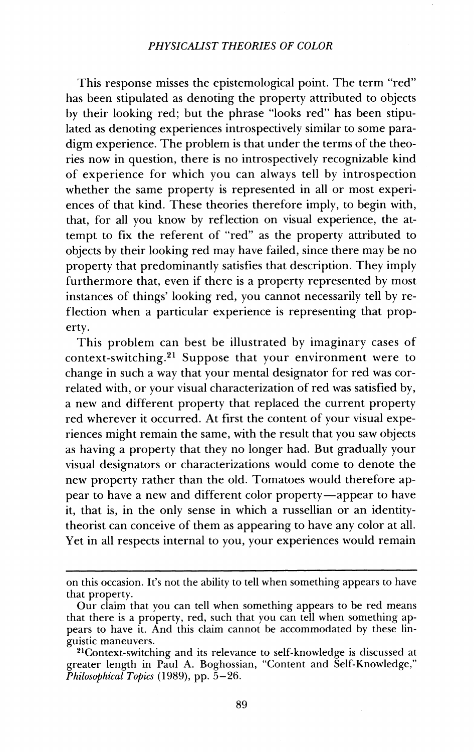This response misses the epistemological point. The term "red" has been stipulated as denoting the property attributed to objects by their looking red; but the phrase "looks red" has been stipulated as denoting experiences introspectively similar to some paradigm experience. The problem is that under the terms of the theories now in question, there is no introspectively recognizable kind of experience for which you can always tell by introspection whether the same property is represented in all or most experiences of that kind. These theories therefore imply, to begin with, that, for all you know by reflection on visual experience, the attempt to fix the referent of "red" as the property attributed to objects by their looking red may have failed, since there may be no property that predominantly satisfies that description. They imply furthermore that, even if there is a property represented by most instances of things' looking red, you cannot necessarily tell by reflection when a particular experience is representing that property.

This problem can best be illustrated by imaginary cases of context-switching.<sup>21</sup> Suppose that your environment were to change in such a way that your mental designator for red was correlated with, or your visual characterization of red was satisfied by, a new and different property that replaced the current property red wherever it occurred. At first the content of your visual experiences might remain the same, with the result that you saw objects as having a property that they no longer had. But gradually your visual designators or characterizations would come to denote the new property rather than the old. Tomatoes would therefore appear to have a new and different color property—appear to have it, that is, in the only sense in which a russellian or an identitytheorist can conceive of them as appearing to have any color at all. Yet in all respects internal to you, your experiences would remain

on this occasion. It'<sup>s</sup> not the ability to tell when something appears to have that property.

Our claim that you can tell when something appears to be red means that there is a property, red, such that you can tell when something appears to have it. And this claim cannot be accommodated by these linguistic maneuvers.

<sup>21</sup>Context-switching and its relevance to self-knowledge is discussed at greater length in Paul A. Boghossian, "Content and Self-Knowledge," *Philosophical Topics* (1989), pp. 5-26.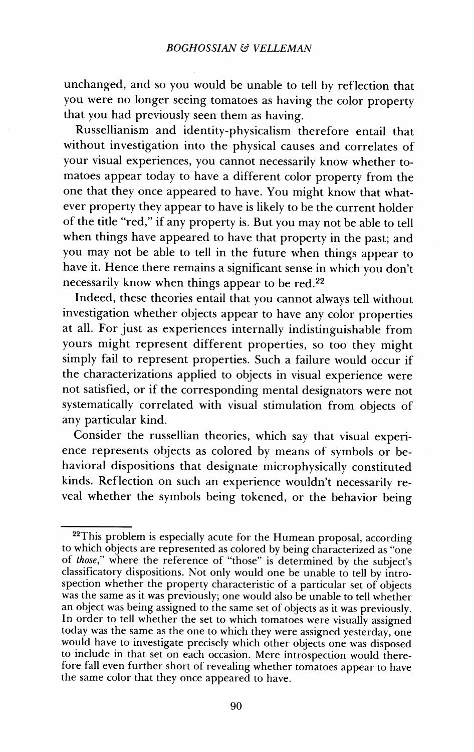unchanged, and so you would be unable to tell by reflection that you were no longer seeing tomatoes as having the color property that you had previously seen them as having.

Russellianism and identity-physicalism therefore entail that without investigation into the physical causes and correlates of your visual experiences, you cannot necessarily know whether tomatoes appear today to have a different color property from the one that they once appeared to have. You might know that whatever property they appear to have is likely to be the current holder of the title "red," if any property is. But you may not be able to tell when things have appeared to have that property in the past; and you may not be able to tell in the future when things appear to have it. Hence there remains a significant sense in which you don't necessarily know when things appear to be red.<sup>22</sup>

Indeed, these theories entail that you cannot always tell without investigation whether objects appear to have any color properties at all. For just as experiences internally indistinguishable from yours might represent different properties, so too they might simply fail to represent properties. Such a failure would occur if the characterizations applied to objects in visual experience were not satisfied, or if the corresponding mental designators were not systematically correlated with visual stimulation from objects of any particular kind.

Consider the russellian theories, which say that visual experience represents objects as colored by means of symbols or behavioral dispositions that designate microphysically constituted kinds. Reflection on such an experience wouldn't necessarily reveal whether the symbols being tokened, or the behavior being

<sup>&</sup>lt;sup>22</sup>This problem is especially acute for the Humean proposal, according to which objects are represented as colored by being characterized as "one of *those"* where the reference of "those" is determined by the subject'<sup>s</sup> classificatory dispositions. Not only would one be unable to tell by introspection whether the property characteristic of a particular set of objects was the same as it was previously; one would also be unable to tell whether an object was being assigned to the same set of objects as it was previously. In order to tell whether the set to which tomatoes were visually assigned today was the same as the one to which they were assigned yesterday, one would have to investigate precisely which other objects one was disposed to include in that set on each occasion. Mere introspection would therefore fall even further short of revealing whether tomatoes appear to have the same color that they once appeared to have.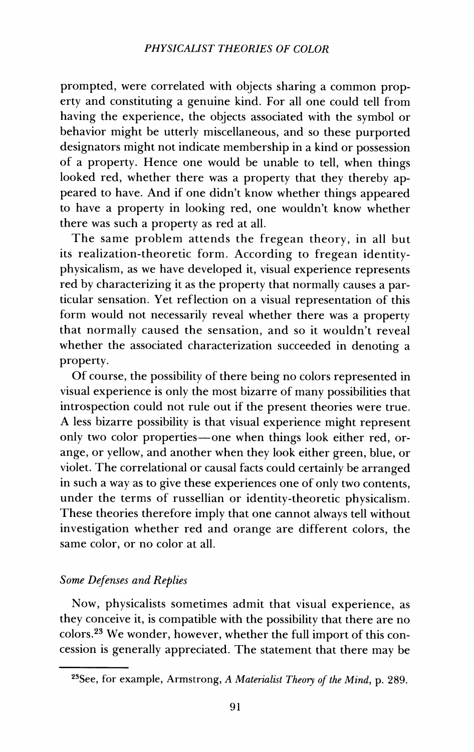prompted, were correlated with objects sharing a common property and constituting a genuine kind. For all one could tell from having the experience, the objects associated with the symbol or behavior might be utterly miscellaneous, and so these purported designators might not indicate membership in a kind or possession of a property. Hence one would be unable to tell, when things looked red, whether there was a property that they thereby appeared to have. And if one didn't know whether things appeared to have a property in looking red, one wouldn't know whether there was such a property as red at all.

The same problem attends the fregean theory, in all but its realization-theoretic form. According to fregean identityphysicalism, as we have developed it, visual experience represents red by characterizing it as the property that normally causes a particular sensation. Yet reflection on a visual representation of this form would not necessarily reveal whether there was a property that normally caused the sensation, and so it wouldn't reveal whether the associated characterization succeeded in denoting a property.

Of course, the possibility of there being no colors represented in visual experience is only the most bizarre of many possibilities that introspection could not rule out if the present theories were true. A less bizarre possibility is that visual experience might represent only two color properties—one when things look either red, orange, or yellow, and another when they look either green, blue, or violet. The correlational or causal facts could certainly be arranged in such a way as to give these experiences one of only two contents, under the terms of russellian or identity-theoretic physicalism. These theories therefore imply that one cannot always tell without investigation whether red and orange are different colors, the same color, or no color at all.

## *Some Defenses and Replies*

Now, physicalists sometimes admit that visual experience, as they conceive it, is compatible with the possibility that there are no colors.<sup>23</sup> We wonder, however, whether the full import of this concession is generally appreciated. The statement that there may be

<sup>23</sup>See, for example, Armstrong, *A Materialist Theory of the Mind,* p. 289.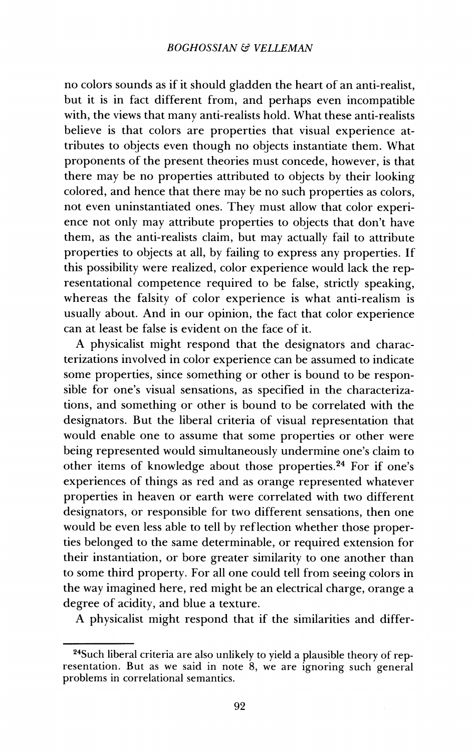no colors sounds as if it should gladden the heart of an anti-realist, but it is in fact different from, and perhaps even incompatible with, the views that many anti-realists hold. What these anti-realists believe is that colors are properties that visual experience attributes to objects even though no objects instantiate them. What proponents of the present theories must concede, however, is that there may be no properties attributed to objects by their looking colored, and hence that there may be no such properties as colors, not even uninstantiated ones. They must allow that color experience not only may attribute properties to objects that don't have them, as the anti-realists claim, but may actually fail to attribute properties to objects at all, by failing to express any properties. If this possibility were realized, color experience would lack the representational competence required to be false, strictly speaking, whereas the falsity of color experience is what anti-realism is usually about. And in our opinion, the fact that color experience can at least be false is evident on the face of it.

A physicalist might respond that the designators and characterizations involved in color experience can be assumed to indicate some properties, since something or other is bound to be responsible for one's visual sensations, as specified in the characterizations, and something or other is bound to be correlated with the designators. But the liberal criteria of visual representation that would enable one to assume that some properties or other were being represented would simultaneously undermine one's claim to other items of knowledge about those properties.<sup>24</sup> For if one's experiences of things as red and as orange represented whatever properties in heaven or earth were correlated with two different designators, or responsible for two different sensations, then one would be even less able to tell by reflection whether those properties belonged to the same determinable, or required extension for their instantiation, or bore greater similarity to one another than to some third property. For all one could tell from seeing colors in the way imagined here, red might be an electrical charge, orange a degree of acidity, and blue a texture.

A physicalist might respond that if the similarities and differ-

<sup>24</sup>Such liberal criteria are also unlikely to yield a plausible theory of representation. But as we said in note  $\dot{8}$ , we are ignoring such general problems in correlational semantics.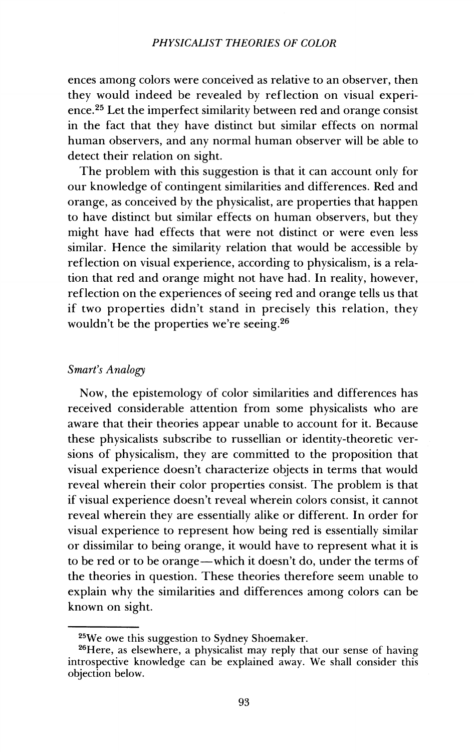ences among colors were conceived as relative to an observer, then they would indeed be revealed by reflection on visual experience.<sup>25</sup> Let the imperfect similarity between red and orange consist in the fact that they have distinct but similar effects on normal human observers, and any normal human observer will be able to detect their relation on sight.

The problem with this suggestion is that it can account only for our knowledge of contingent similarities and differences. Red and orange, as conceived by the physicalist, are properties that happen to have distinct but similar effects on human observers, but they might have had effects that were not distinct or were even less similar. Hence the similarity relation that would be accessible by reflection on visual experience, according to physicalism, is a relation that red and orange might not have had. In reality, however, reflection on the experiences of seeing red and orange tells us that if two properties didn't stand in precisely this relation, they wouldn't be the properties we're seeing.<sup>26</sup>

#### *Smart's Analogy*

Now, the epistemology of color similarities and differences has received considerable attention from some physicalists who are aware that their theories appear unable to account for it. Because these physicalists subscribe to russellian or identity-theoretic versions of physicalism, they are committed to the proposition that visual experience doesn't characterize objects in terms that would reveal wherein their color properties consist. The problem is that if visual experience doesn't reveal wherein colors consist, it cannot reveal wherein they are essentially alike or different. In order for visual experience to represent how being red is essentially similar or dissimilar to being orange, it would have to represent what it is to be red or to be orange—which it doesn't do, under the terms of the theories in question. These theories therefore seem unable to explain why the similarities and differences among colors can be known on sight.

<sup>25</sup>We owe this suggestion to Sydney Shoemaker.

<sup>&</sup>lt;sup>26</sup>Here, as elsewhere, a physicalist may reply that our sense of having introspective knowledge can be explained away. We shall consider this objection below.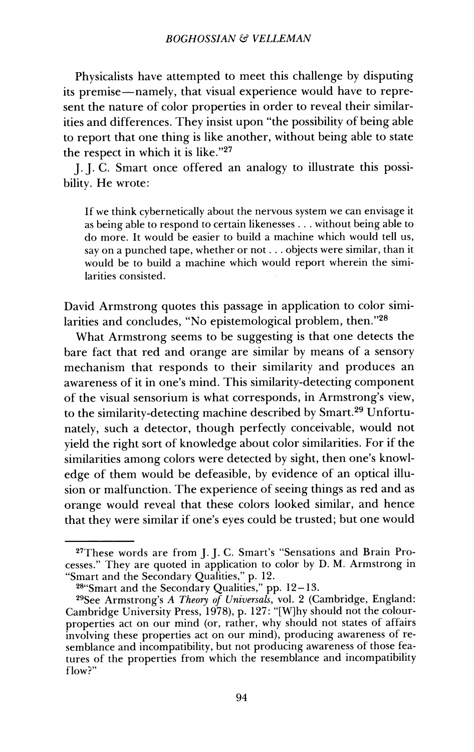Physicalists have attempted to meet this challenge by disputing its premise—namely, that visual experience would have to represent the nature of color properties in order to reveal their similarities and differences. They insist upon "the possibility of being able to report that one thing is like another, without being able to state the respect in which it is like."<sup>27</sup>

J. J. C. Smart once offered an analogy to illustrate this possibility. He wrote:

If we think cybernetically about the nervous system we can envisage it as being able to respond to certain likenesses . . . without being able to do more. It would be easier to build a machine which would tell us, say on a punched tape, whether or not. . . objects were similar, than it would be to build a machine which would report wherein the similarities consisted.

David Armstrong quotes this passage in application to color similarities and concludes, "No epistemological problem, then."<sup>28</sup>

What Armstrong seems to be suggesting is that one detects the bare fact that red and orange are similar by means of a sensory mechanism that responds to their similarity and produces an awareness of it in one's mind. This similarity-detecting component of the visual sensorium is what corresponds, in Armstrong's view, to the similarity-detecting machine described by Smart.<sup>29</sup> Unfortunately, such a detector, though perfectly conceivable, would not yield the right sort of knowledge about color similarities. For if the similarities among colors were detected by sight, then one's knowledge of them would be defeasible, by evidence of an optical illusion or malfunction. The experience of seeing things as red and as orange would reveal that these colors looked similar, and hence that they were similar if one's eyes could be trusted; but one would

<sup>27</sup>These words are from J. J. C. Smart'<sup>s</sup> "Sensations and Brain Processes." They are quoted in application to color by D. M. Armstrong in "Smart and the Secondary Qualities," p. 12.

<sup>28</sup>"Smart and the Secondary Qualities," pp. 12-13.

<sup>29</sup>See Armstrong'<sup>s</sup> *A Theory of Universals,* vol. 2 (Cambridge, England: Cambridge University Press, 1978), p. 127: "[W]hy should not the colourproperties act on our mind (or, rather, why should not states of affairs involving these properties act on our mind), producing awareness of resemblance and incompatibility, but not producing awareness of those features of the properties from which the resemblance and incompatibility flow?"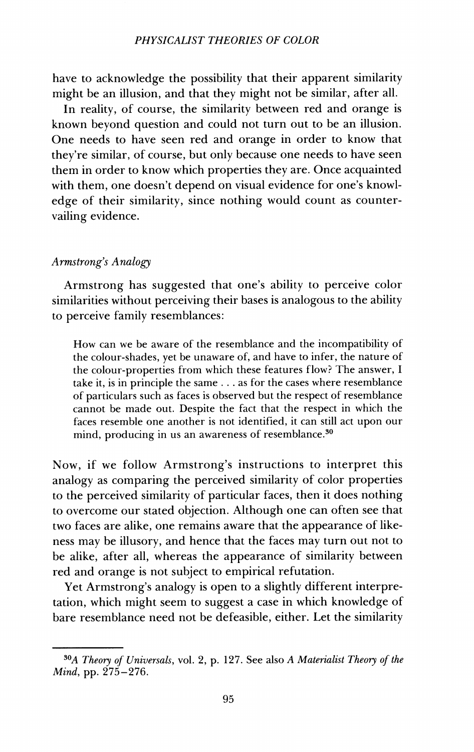#### *PHYSICALIST THEORIES OF COLOR*

have to acknowledge the possibility that their apparent similarity might be an illusion, and that they might not be similar, after all.

In reality, of course, the similarity between red and orange is known beyond question and could not turn out to be an illusion. One needs to have seen red and orange in order to know that they're similar, of course, but only because one needs to have seen them in order to know which properties they are. Once acquainted with them, one doesn't depend on visual evidence for one's knowledge of their similarity, since nothing would count as countervailing evidence.

## *Armstrong's Analogy*

Armstrong has suggested that one's ability to perceive color similarities without perceiving their bases is analogous to the ability to perceive family resemblances:

How can we be aware of the resemblance and the incompatibility of the colour-shades, yet be unaware of, and have to infer, the nature of the colour-properties from which these features flow? The answer, I take it, is in principle the same ... as for the cases where resemblance of particulars such as faces is observed but the respect of resemblance cannot be made out. Despite the fact that the respect in which the faces resemble one another is not identified, it can still act upon our mind, producing in us an awareness of resemblance.<sup>30</sup>

Now, if we follow Armstrong'<sup>s</sup> instructions to interpret this analogy as comparing the perceived similarity of color properties to the perceived similarity of particular faces, then it does nothing to overcome our stated objection. Although one can often see that two faces are alike, one remains aware that the appearance of likeness may be illusory, and hence that the faces may turn out not to be alike, after all, whereas the appearance of similarity between red and orange is not subject to empirical refutation.

Yet Armstrong's analogy is open to a slightly different interpretation, which might seem to suggest a case in which knowledge of bare resemblance need not be defeasible, either. Let the similarity

*<sup>3</sup>0A Theory of Universals,* vol. 2, p. 127. See also *A Materialist Theory of the Mind,* pp. 275-276.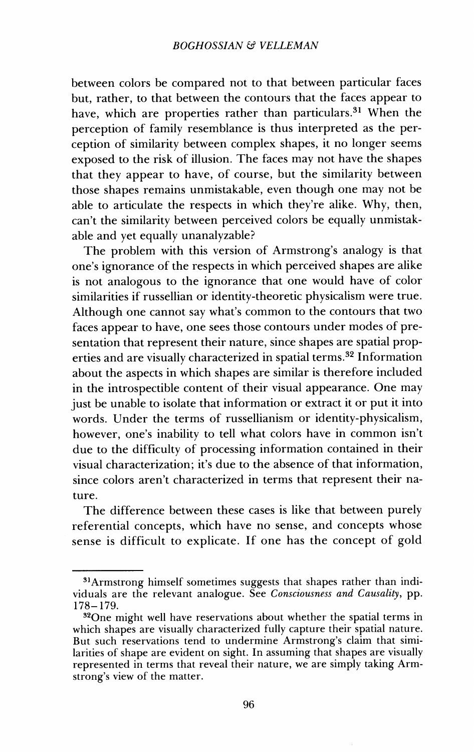between colors be compared not to that between particular faces but, rather, to that between the contours that the faces appear to have, which are properties rather than particulars.<sup>31</sup> When the perception of family resemblance is thus interpreted as the perception of similarity between complex shapes, it no longer seems exposed to the risk of illusion. The faces may not have the shapes that they appear to have, of course, but the similarity between those shapes remains unmistakable, even though one may not be able to articulate the respects in which they're alike. Why, then, can't the similarity between perceived colors be equally unmistakable and yet equally unanalyzable?

The problem with this version of Armstrong's analogy is that one's ignorance of the respects in which perceived shapes are alike is not analogous to the ignorance that one would have of color similarities if russellian or identity-theoretic physicalism were true. Although one cannot say what's common to the contours that two faces appear to have, one sees those contours under modes of presentation that represent their nature, since shapes are spatial properties and are visually characterized in spatial terms.<sup>32</sup> Information about the aspects in which shapes are similar is therefore included in the introspectible content of their visual appearance. One may just be unable to isolate that information or extract it or put it into words. Under the terms of russellianism or identity-physicalism, however, one's inability to tell what colors have in common isn't due to the difficulty of processing information contained in their visual characterization; it'<sup>s</sup> due to the absence of that information, since colors aren't characterized in terms that represent their nature.

The difference between these cases is like that between purely referential concepts, which have no sense, and concepts whose sense is difficult to explicate. If one has the concept of gold

<sup>31</sup>Armstrong himself sometimes suggests that shapes rather than individuals are the relevant analogue. See *Consciousness and Causality,* pp. 178-179.

<sup>&</sup>lt;sup>32</sup>One might well have reservations about whether the spatial terms in which shapes are visually characterized fully capture their spatial nature. But such reservations tend to undermine Armstrong'<sup>s</sup> claim that similarities of shape are evident on sight. In assuming that shapes are visually represented in terms that reveal their nature, we are simply taking Armstrong'<sup>s</sup> view of the matter.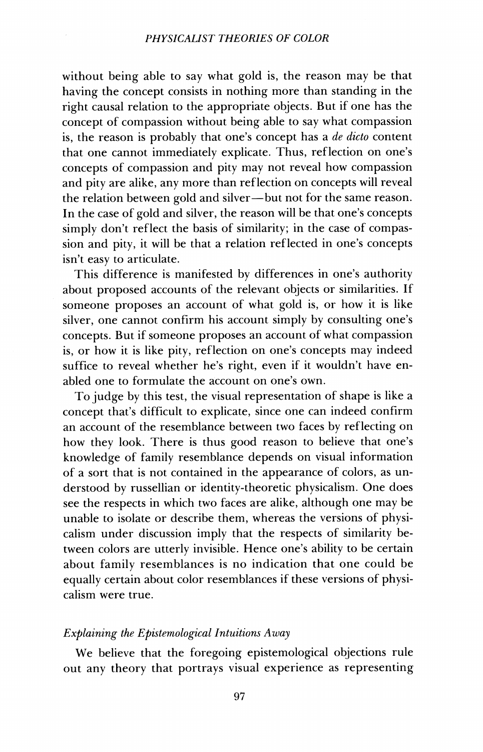without being able to say what gold is, the reason may be that having the concept consists in nothing more than standing in the right causal relation to the appropriate objects. But if one has the concept of compassion without being able to say what compassion is, the reason is probably that one's concept has a *de dicto* content that one cannot immediately explicate. Thus, reflection on one's concepts of compassion and pity may not reveal how compassion and pity are alike, any more than reflection on concepts will reveal the relation between gold and silver—but not for the same reason. In the case of gold and silver, the reason will be that one's concepts simply don't reflect the basis of similarity; in the case of compassion and pity, it will be that a relation reflected in one's concepts isn't easy to articulate.

This difference is manifested by differences in one's authority about proposed accounts of the relevant objects or similarities. If someone proposes an account of what gold is, or how it is like silver, one cannot confirm his account simply by consulting one'<sup>s</sup> concepts. But if someone proposes an account of what compassion is, or how it is like pity, reflection on one's concepts may indeed suffice to reveal whether he's right, even if it wouldn't have enabled one to formulate the account on one's own.

To judge by this test, the visual representation of shape is like a concept that'<sup>s</sup> difficult to explicate, since one can indeed confirm an account of the resemblance between two faces by reflecting on how they look. There is thus good reason to believe that one'<sup>s</sup> knowledge of family resemblance depends on visual information of a sort that is not contained in the appearance of colors, as understood by russellian or identity-theoretic physicalism. One does see the respects in which two faces are alike, although one may be unable to isolate or describe them, whereas the versions of physicalism under discussion imply that the respects of similarity between colors are utterly invisible. Hence one's ability to be certain about family resemblances is no indication that one could be equally certain about color resemblances if these versions of physicalism were true.

#### *Explaining the Epistemological Intuitions Away*

We believe that the foregoing epistemological objections rule out any theory that portrays visual experience as representing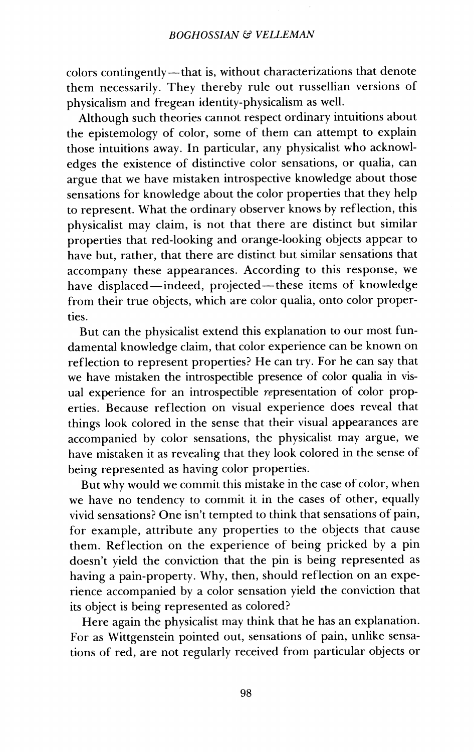colors contingently—that is, without characterizations that denote them necessarily. They thereby rule out russellian versions of physicalism and fregean identity-physicalism as well.

Although such theories cannot respect ordinary intuitions about the epistemology of color, some of them can attempt to explain those intuitions away. In particular, any physicalist who acknowledges the existence of distinctive color sensations, or qualia, can argue that we have mistaken introspective knowledge about those sensations for knowledge about the color properties that they help to represent. What the ordinary observer knows by reflection, this physicalist may claim, is not that there are distinct but similar properties that red-looking and orange-looking objects appear to have but, rather, that there are distinct but similar sensations that accompany these appearances. According to this response, we have displaced—indeed, projected—these items of knowledge from their true objects, which are color qualia, onto color properties.

But can the physicalist extend this explanation to our most fundamental knowledge claim, that color experience can be known on reflection to represent properties? He can try. For he can say that we have mistaken the introspectible presence of color qualia in visual experience for an introspectible representation of color properties. Because reflection on visual experience does reveal that things look colored in the sense that their visual appearances are accompanied by color sensations, the physicalist may argue, we have mistaken it as revealing that they look colored in the sense of being represented as having color properties.

But why would we commit this mistake in the case of color, when we have no tendency to commit it in the cases of other, equally vivid sensations? One isn't tempted to think that sensations of pain, for example, attribute any properties to the objects that cause them. Reflection on the experience of being pricked by a pin doesn't yield the conviction that the pin is being represented as having a pain-property. Why, then, should reflection on an experience accompanied by a color sensation yield the conviction that its object is being represented as colored?

Here again the physicalist may think that he has an explanation. For as Wittgenstein pointed out, sensations of pain, unlike sensations of red, are not regularly received from particular objects or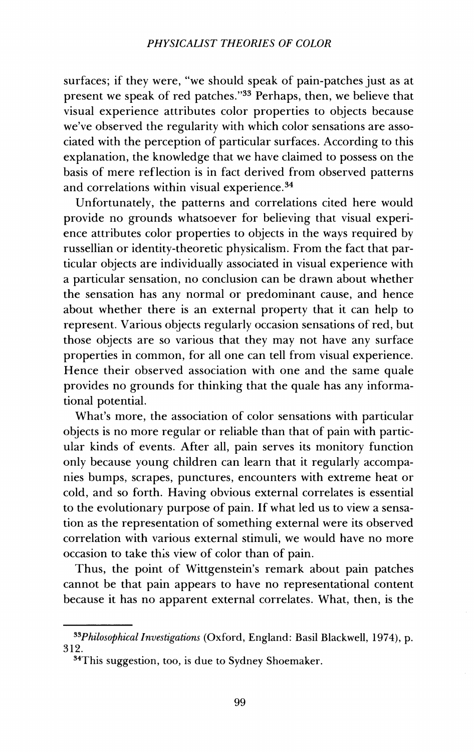surfaces; if they were, "we should speak of pain-patches just as at present we speak of red patches."<sup>33</sup> Perhaps, then, we believe that visual experience attributes color properties to objects because we've observed the regularity with which color sensations are associated with the perception of particular surfaces. According to this explanation, the knowledge that we have claimed to possess on the basis of mere reflection is in fact derived from observed patterns and correlations within visual experience.<sup>34</sup>

Unfortunately, the patterns and correlations cited here would provide no grounds whatsoever for believing that visual experience attributes color properties to objects in the ways required by russellian or identity-theoretic physicalism. From the fact that particular objects are individually associated in visual experience with a particular sensation, no conclusion can be drawn about whether the sensation has any normal or predominant cause, and hence about whether there is an external property that it can help to represent. Various objects regularly occasion sensations of red, but those objects are so various that they may not have any surface properties in common, for all one can tell from visual experience. Hence their observed association with one and the same quale provides no grounds for thinking that the quale has any informational potential.

What's more, the association of color sensations with particular objects is no more regular or reliable than that of pain with particular kinds of events. After all, pain serves its monitory function only because young children can learn that it regularly accompanies bumps, scrapes, punctures, encounters with extreme heat or cold, and so forth. Having obvious external correlates is essential to the evolutionary purpose of pain. If what led us to view a sensation as the representation of something external were its observed correlation with various external stimuli, we would have no more occasion to take this view of color than of pain.

Thus, the point of Wittgenstein's remark about pain patches cannot be that pain appears to have no representational content because it has no apparent external correlates. What, then, is the

<sup>33</sup>*Philosophical Investigations* (Oxford, England: Basil Blackwell, 1974), p. 312.

<sup>34</sup>This suggestion, too, is due to Sydney Shoemaker.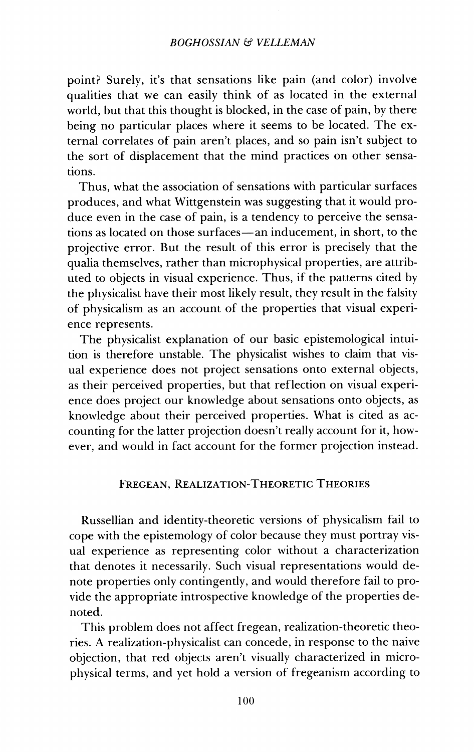point? Surely, it's that sensations like pain (and color) involve qualities that we can easily think of as located in the external world, but that this thought is blocked, in the case of pain, by there being no particular places where it seems to be located. The external correlates of pain aren't places, and so pain isn't subject to the sort of displacement that the mind practices on other sensations.

Thus, what the association of sensations with particular surfaces produces, and what Wittgenstein was suggesting that it would produce even in the case of pain, is a tendency to perceive the sensations as located on those surfaces—an inducement, in short, to the projective error. But the result of this error is precisely that the qualia themselves, rather than microphysical properties, are attributed to objects in visual experience. Thus, if the patterns cited by the physicalist have their most likely result, they result in the falsity of physicalism as an account of the properties that visual experience represents.

The physicalist explanation of our basic epistemological intuition is therefore unstable. The physicalist wishes to claim that visual experience does not project sensations onto external objects, as their perceived properties, but that reflection on visual experience does project our knowledge about sensations onto objects, as knowledge about their perceived properties. What is cited as accounting for the latter projection doesn't really account for it, however, and would in fact account for the former projection instead.

## Fregean, Realization-Theoretic Theories

Russellian and identity-theoretic versions of physicalism fail to cope with the epistemology of color because they must portray visual experience as representing color without a characterization that denotes it necessarily. Such visual representations would denote properties only contingently, and would therefore fail to provide the appropriate introspective knowledge of the properties denoted.

This problem does not affect fregean, realization-theoretic theories. A realization-physicalist can concede, in response to the naive objection, that red objects aren't visually characterized in microphysical terms, and yet hold a version of fregeanism according to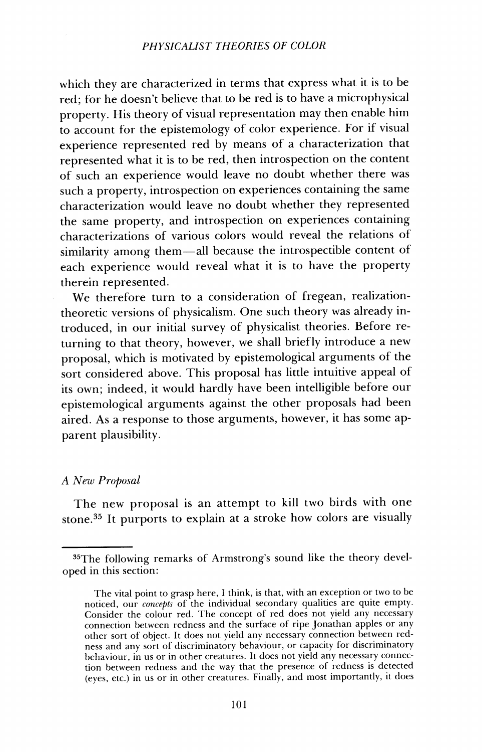which they are characterized in terms that express what it is to be red; for he doesn't believe that to be red is to have a microphysical property. His theory of visual representation may then enable him to account for the epistemology of color experience. For if visual experience represented red by means of a characterization that represented what it is to be red, then introspection on the content of such an experience would leave no doubt whether there was such a property, introspection on experiences containing the same characterization would leave no doubt whether they represented the same property, and introspection on experiences containing characterizations of various colors would reveal the relations of similarity among them—all because the introspectible content of each experience would reveal what it is to have the property therein represented.

We therefore turn to a consideration of fregean, realizationtheoretic versions of physicalism. One such theory was already introduced, in our initial survey of physicalist theories. Before returning to that theory, however, we shall briefly introduce a new proposal, which is motivated by epistemological arguments of the sort considered above. This proposal has little intuitive appeal of its own; indeed, it would hardly have been intelligible before our epistemological arguments against the other proposals had been aired. As a response to those arguments, however, it has some apparent plausibility.

#### *A New Proposal*

The new proposal is an attempt to kill two birds with one stone.<sup>35</sup> It purports to explain at a stroke how colors are visually

<sup>&</sup>lt;sup>35</sup>The following remarks of Armstrong's sound like the theory developed in this section:

The vital point to grasp here, I think, is that, with an exception or two to be noticed, our *concepts* of the individual secondary qualities are quite empty. Consider the colour red. The concept of red does not yield any necessary connection between redness and the surface of ripe Jonathan apples or any other sort of object. It does not yield any necessary connection between redness and any sort of discriminatory behaviour, or capacity for discriminatory behaviour, in us or in other creatures. It does not yield any necessary connection between redness and the way that the presence of redness is detected (eyes, etc.) in us or in other creatures. Finally, and most importantly, it does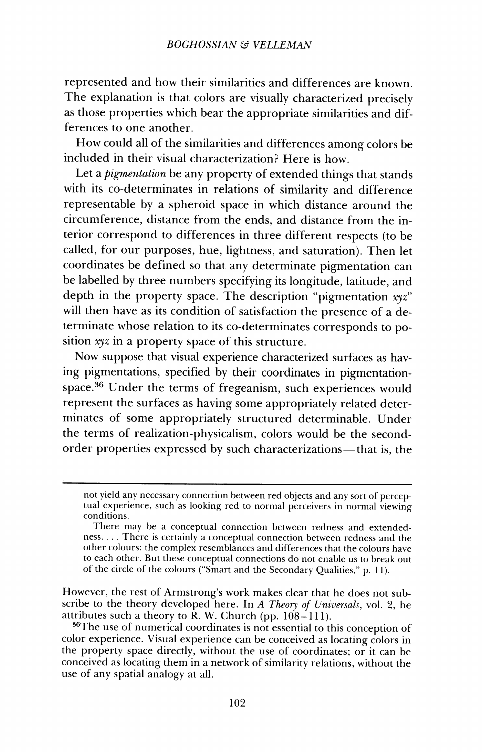represented and how their similarities and differences are known. The explanation is that colors are visually characterized precisely as those properties which bear the appropriate similarities and differences to one another.

How could all of the similarities and differences among colors be included in their visual characterization? Here is how.

Let a *pigmentation* be any property of extended things that stands with its co-determinates in relations of similarity and difference representable by a spheroid space in which distance around the circumference, distance from the ends, and distance from the interior correspond to differences in three different respects (to be called, for our purposes, hue, lightness, and saturation). Then let coordinates be defined so that any determinate pigmentation can be labelled by three numbers specifying its longitude, latitude, and depth in the property space. The description "pigmentation *xyz"* will then have as its condition of satisfaction the presence of a determinate whose relation to its co-determinates corresponds to position *xyz* in a property space of this structure.

Now suppose that visual experience characterized surfaces as having pigmentations, specified by their coordinates in pigmentationspace.<sup>36</sup> Under the terms of fregeanism, such experiences would represent the surfaces as having some appropriately related determinates of some appropriately structured determinable. Under the terms of realization-physicalism, colors would be the secondorder properties expressed by such characterizations—that is, the

However, the rest of Armstrong'<sup>s</sup> work makes clear that he does not subscribe to the theory developed here. In *A Theory of Universals,* vol. 2, he attributes such a theory to  $\hat{R}$ . W. Church (pp. 108–111).

<sup>36</sup>The use of numerical coordinates is not essential to this conception of color experience. Visual experience can be conceived as locating colors in the property space directly, without the use of coordinates; or it can be conceived as locating them in a network of similarity relations, without the use of any spatial analogy at all.

not yield any necessary connection between red objects and any sort of perceptual experience, such as looking red to normal perceivers in normal viewing conditions.

There may be a conceptual connection between redness and extendedness. . . . There is certainly a conceptual connection between redness and the other colours: the complex resemblances and differences that the colours have to each other. But these conceptual connections do not enable us to break out of the circle of the colours ("Smart and the Secondary Qualities," p. 11).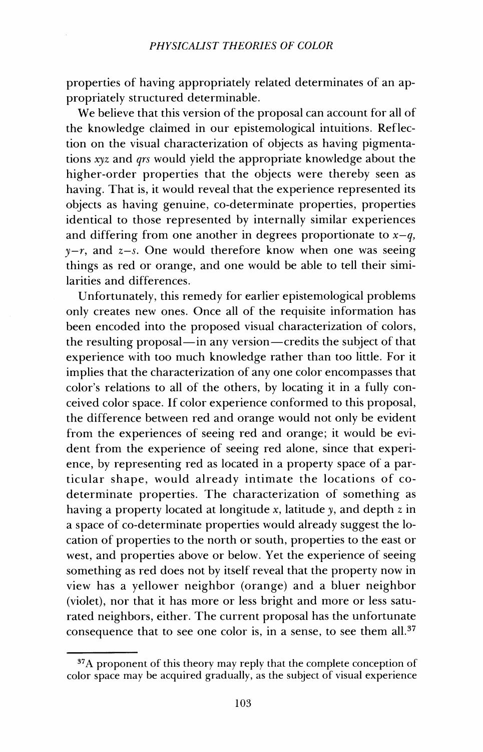properties of having appropriately related determinates of an appropriately structured determinable.

We believe that this version of the proposal can account for all of the knowledge claimed in our epistemological intuitions. Reflection on the visual characterization of objects as having pigmentations *xyz* and *qrs* would yield the appropriate knowledge about the higher-order properties that the objects were thereby seen as having. That is, it would reveal that the experience represented its objects as having genuine, co-determinate properties, properties identical to those represented by internally similar experiences and differing from one another in degrees proportionate to  $x-q$ , *y—r,* and *z—s.* One would therefore know when one was seeing things as red or orange, and one would be able to tell their similarities and differences.

Unfortunately, this remedy for earlier epistemological problems only creates new ones. Once all of the requisite information has been encoded into the proposed visual characterization of colors, the resulting proposal—in any version—credits the subject of that experience with too much knowledge rather than too little. For it implies that the characterization of any one color encompasses that color'<sup>s</sup> relations to all of the others, by locating it in a fully conceived color space. If color experience conformed to this proposal, the difference between red and orange would not only be evident from the experiences of seeing red and orange; it would be evident from the experience of seeing red alone, since that experience, by representing red as located in a property space of a particular shape, would already intimate the locations of codeterminate properties. The characterization of something as having a property located at longitude x, latitude y, and depth *z* in a space of co-determinate properties would already suggest the location of properties to the north or south, properties to the east or west, and properties above or below. Yet the experience of seeing something as red does not by itself reveal that the property now in view has a yellower neighbor (orange) and a bluer neighbor (violet), nor that it has more or less bright and more or less saturated neighbors, either. The current proposal has the unfortunate consequence that to see one color is, in a sense, to see them all.<sup>37</sup>

<sup>&</sup>lt;sup>37</sup>A proponent of this theory may reply that the complete conception of color space may be acquired gradually, as the subject of visual experience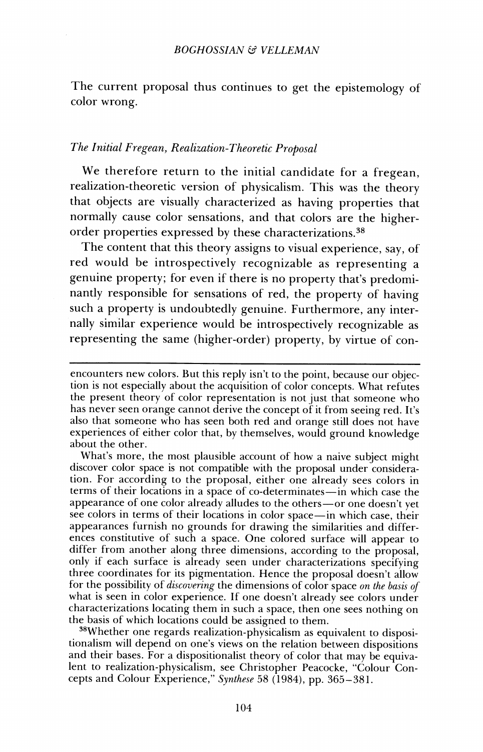The current proposal thus continues to get the epistemology of color wrong.

#### *The Initial Fregean, Realization-Theoretic Proposal*

We therefore return to the initial candidate for a fregean, realization-theoretic version of physicalism. This was the theory that objects are visually characterized as having properties that normally cause color sensations, and that colors are the higherorder properties expressed by these characterizations.<sup>38</sup>

The content that this theory assigns to visual experience, say, of red would be introspectively recognizable as representing a genuine property; for even if there is no property that'<sup>s</sup> predominantly responsible for sensations of red, the property of having such a property is undoubtedly genuine. Furthermore, any internally similar experience would be introspectively recognizable as representing the same (higher-order) property, by virtue of con-

What'<sup>s</sup> more, the most plausible account of how a naive subject might discover color space is not compatible with the proposal under consideration. For according to the proposal, either one already sees colors in terms of their locations in a space of co-determinates—in which case the appearance of one color already alludes to the others—or one doesn't yet see colors in terms of their locations in color space—in which case, their appearances furnish no grounds for drawing the similarities and differences constitutive of such a space. One colored surface will appear to differ from another along three dimensions, according to the proposal, only if each surface is already seen under characterizations specifying three coordinates for its pigmentation. Hence the proposal doesn't allow for the possibility of *discovering* the dimensions of color space *on the basis of* what is seen in color experience. If one doesn't already see colors under characterizations locating them in such a space, then one sees nothing on the basis of which locations could be assigned to them.

<sup>38</sup>Whether one regards realization-physicalism as equivalent to dispositionalism will depend on one'<sup>s</sup> views on the relation between dispositions and their bases. For a dispositionalist theory of color that may be equivalent to realization-physicalism, see Christopher Peacocke, "Colour Concepts and Colour Experience," *Synthese* 58 (1984), pp. 365-381.

encounters new colors. But this reply isn't to the point, because our objection is not especially about the acquisition of color concepts. What refutes the present theory of color representation is not just that someone who has never seen orange cannot derive the concept of it from seeing red. It'<sup>s</sup> also that someone who has seen both red and orange still does not have experiences of either color that, by themselves, would ground knowledge about the other.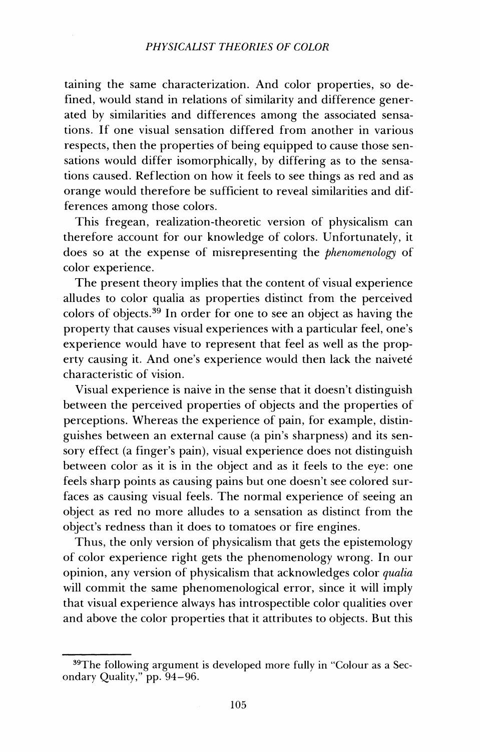taining the same characterization. And color properties, so defined, would stand in relations of similarity and difference generated by similarities and differences among the associated sensations. If one visual sensation differed from another in various respects, then the properties of being equipped to cause those sensations would differ isomorphically, by differing as to the sensations caused. Reflection on how it feels to see things as red and as orange would therefore be sufficient to reveal similarities and differences among those colors.

This fregean, realization-theoretic version of physicalism can therefore account for our knowledge of colors. Unfortunately, it does so at the expense of misrepresenting the *phenomenology* of color experience.

The present theory implies that the content of visual experience alludes to color qualia as properties distinct from the perceived colors of objects.<sup>39</sup> In order for one to see an object as having the property that causes visual experiences with a particular feel, one'<sup>s</sup> experience would have to represent that feel as well as the property causing it. And one's experience would then lack the naiveté characteristic of vision.

Visual experience is naive in the sense that it doesn't distinguish between the perceived properties of objects and the properties of perceptions. Whereas the experience of pain, for example, distinguishes between an external cause (a pin'<sup>s</sup> sharpness) and its sensory effect (a finger'<sup>s</sup> pain), visual experience does not distinguish between color as it is in the object and as it feels to the eye: one feels sharp points as causing pains but one doesn't see colored surfaces as causing visual feels. The normal experience of seeing an object as red no more alludes to a sensation as distinct from the object'<sup>s</sup> redness than it does to tomatoes or fire engines.

Thus, the only version of physicalism that gets the epistemology of color experience right gets the phenomenology wrong. In our opinion, any version of physicalism that acknowledges color *qualia* will commit the same phenomenological error, since it will imply that visual experience always has introspectible color qualities over and above the color properties that it attributes to objects. But this

<sup>&</sup>lt;sup>39</sup>The following argument is developed more fully in "Colour as a Secondary Quality," pp. 94-96.